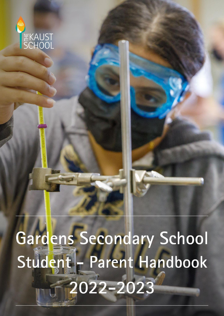

# Gardens Secondary School Student - Parent Handbook  $2022 - 2023$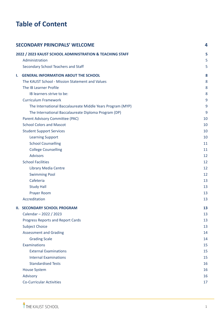# **Table of Content**

|    | <b>SECONDARY PRINCIPALS' WELCOME</b>                       | 4  |
|----|------------------------------------------------------------|----|
|    | 2022 / 2023 KAUST SCHOOL ADMINISTRATION & TEACHING STAFF   | 5  |
|    | Administration                                             | 5  |
|    | Secondary School Teachers and Staff                        | 5  |
| Ι. | <b>GENERAL INFORMATION ABOUT THE SCHOOL</b>                | 8  |
|    | The KAUST School - Mission Statement and Values            | 8  |
|    | The IB Learner Profile                                     | 8  |
|    | IB learners strive to be:                                  | 8  |
|    | <b>Curriculum Framework</b>                                | 9  |
|    | The International Baccalaureate Middle Years Program (MYP) | 9  |
|    | The International Baccalaureate Diploma Program (DP)       | 9  |
|    | Parent Advisory Committee (PAC)                            | 10 |
|    | <b>School Colors and Mascot</b>                            | 10 |
|    | <b>Student Support Services</b>                            | 10 |
|    | <b>Learning Support</b>                                    | 10 |
|    | <b>School Counselling</b>                                  | 11 |
|    | <b>College Counselling</b>                                 | 11 |
|    | <b>Advisors</b>                                            | 12 |
|    | <b>School Facilities</b>                                   | 12 |
|    | <b>Library Media Centre</b>                                | 12 |
|    | <b>Swimming Pool</b>                                       | 12 |
|    | Cafeteria                                                  | 13 |
|    | <b>Study Hall</b>                                          | 13 |
|    | Prayer Room                                                | 13 |
|    | Accreditation                                              | 13 |
|    | <b>II. SECONDARY SCHOOL PROGRAM</b>                        | 13 |
|    | Calendar - 2022 / 2023                                     | 13 |
|    | Progress Reports and Report Cards                          | 13 |
|    | <b>Subject Choice</b>                                      | 13 |
|    | <b>Assessment and Grading</b>                              | 14 |
|    | <b>Grading Scale</b>                                       | 14 |
|    | Examinations                                               | 15 |
|    | <b>External Examinations</b>                               | 15 |
|    | <b>Internal Examinations</b>                               | 15 |
|    | <b>Standardised Tests</b>                                  | 16 |
|    | <b>House System</b>                                        | 16 |
|    | Advisory                                                   | 16 |
|    | <b>Co-Curricular Activities</b>                            | 17 |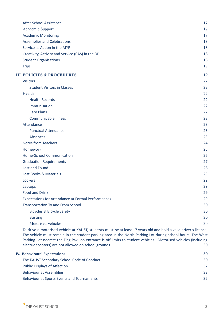| <b>After School Assistance</b>                                                                                                                                                                                                                                                                                                                                                                            | 17 |
|-----------------------------------------------------------------------------------------------------------------------------------------------------------------------------------------------------------------------------------------------------------------------------------------------------------------------------------------------------------------------------------------------------------|----|
| Academic Support                                                                                                                                                                                                                                                                                                                                                                                          | 17 |
| <b>Academic Monitoring</b>                                                                                                                                                                                                                                                                                                                                                                                | 17 |
| <b>Assemblies and Celebrations</b>                                                                                                                                                                                                                                                                                                                                                                        | 18 |
| Service as Action in the MYP                                                                                                                                                                                                                                                                                                                                                                              | 18 |
| Creativity, Activity and Service (CAS) in the DP                                                                                                                                                                                                                                                                                                                                                          | 18 |
| <b>Student Organisations</b>                                                                                                                                                                                                                                                                                                                                                                              | 18 |
| <b>Trips</b>                                                                                                                                                                                                                                                                                                                                                                                              | 19 |
| <b>III. POLICIES &amp; PROCEDURES</b>                                                                                                                                                                                                                                                                                                                                                                     | 19 |
| <b>Visitors</b>                                                                                                                                                                                                                                                                                                                                                                                           | 22 |
| <b>Student Visitors in Classes</b>                                                                                                                                                                                                                                                                                                                                                                        | 22 |
| Health                                                                                                                                                                                                                                                                                                                                                                                                    | 22 |
| <b>Health Records</b>                                                                                                                                                                                                                                                                                                                                                                                     | 22 |
| Immunisation                                                                                                                                                                                                                                                                                                                                                                                              | 22 |
| <b>Care Plans</b>                                                                                                                                                                                                                                                                                                                                                                                         | 22 |
| <b>Communicable Illness</b>                                                                                                                                                                                                                                                                                                                                                                               | 23 |
| Attendance                                                                                                                                                                                                                                                                                                                                                                                                | 23 |
| <b>Punctual Attendance</b>                                                                                                                                                                                                                                                                                                                                                                                | 23 |
| Absences                                                                                                                                                                                                                                                                                                                                                                                                  | 23 |
| <b>Notes from Teachers</b>                                                                                                                                                                                                                                                                                                                                                                                | 24 |
| Homework                                                                                                                                                                                                                                                                                                                                                                                                  | 25 |
| Home-School Communication                                                                                                                                                                                                                                                                                                                                                                                 | 26 |
| <b>Graduation Requirements</b>                                                                                                                                                                                                                                                                                                                                                                            | 27 |
| Lost and Found                                                                                                                                                                                                                                                                                                                                                                                            | 28 |
| Lost Books & Materials                                                                                                                                                                                                                                                                                                                                                                                    | 29 |
| Lockers                                                                                                                                                                                                                                                                                                                                                                                                   | 29 |
| Laptops                                                                                                                                                                                                                                                                                                                                                                                                   | 29 |
| <b>Food and Drink</b>                                                                                                                                                                                                                                                                                                                                                                                     | 29 |
| <b>Expectations for Attendance at Formal Performances</b>                                                                                                                                                                                                                                                                                                                                                 | 29 |
| <b>Transportation To and From School</b>                                                                                                                                                                                                                                                                                                                                                                  | 30 |
| <b>Bicycles &amp; Bicycle Safety</b>                                                                                                                                                                                                                                                                                                                                                                      | 30 |
| <b>Bussing</b>                                                                                                                                                                                                                                                                                                                                                                                            | 30 |
| <b>Motorised Vehicles</b>                                                                                                                                                                                                                                                                                                                                                                                 | 30 |
| To drive a motorised vehicle at KAUST, students must be at least 17 years old and hold a valid driver's licence.<br>The vehicle must remain in the student parking area in the North Parking Lot during school hours. The West<br>Parking Lot nearest the Flag Pavilion entrance is off limits to student vehicles. Motorised vehicles (including<br>electric scooters) are not allowed on school grounds | 30 |
| <b>IV. Behavioural Expectations</b>                                                                                                                                                                                                                                                                                                                                                                       | 30 |
|                                                                                                                                                                                                                                                                                                                                                                                                           |    |

| The KAUST Secondary School Code of Conduct | 30  |
|--------------------------------------------|-----|
| <b>Public Displays of Affection</b>        | 32. |
| <b>Behaviour at Assemblies</b>             | 32. |
| Behaviour at Sports Events and Tournaments | 32. |
|                                            |     |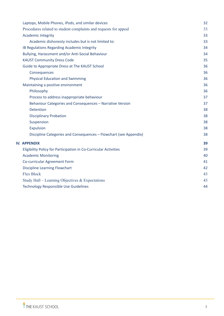| Laptops, Mobile Phones, iPods, and similar devices                | 32 |
|-------------------------------------------------------------------|----|
| Procedures related to student complaints and requests for appeal  | 33 |
| <b>Academic Integrity</b>                                         | 33 |
| Academic dishonesty includes but is not limited to:               | 33 |
| IB Regulations Regarding Academic Integrity                       | 34 |
| Bullying, Harassment and/or Anti-Social Behaviour                 | 34 |
| <b>KAUST Community Dress Code</b>                                 | 35 |
| Guide to Appropriate Dress at The KAUST School                    | 36 |
| Consequences                                                      | 36 |
| <b>Physical Education and Swimming</b>                            | 36 |
| Maintaining a positive environment                                | 36 |
| Philosophy                                                        | 36 |
| Process to address inappropriate behaviour                        | 37 |
| Behaviour Categories and Consequences - Narrative Version         | 37 |
| <b>Detention</b>                                                  | 38 |
| <b>Disciplinary Probation</b>                                     | 38 |
| Suspension                                                        | 38 |
| <b>Expulsion</b>                                                  | 38 |
| Discipline Categories and Consequences - Flowchart (see Appendix) | 38 |
| <b>IV. APPENDIX</b>                                               | 39 |
| Eligibility Policy for Participation in Co-Curricular Activities  | 39 |
| <b>Academic Monitoring</b>                                        | 40 |
| Co-curricular Agreement Form                                      | 41 |
| <b>Discipline Learning Flowchart</b>                              | 42 |
| <b>Flex Block</b>                                                 | 43 |
| Study Hall – Learning Objectives $&$ Expectations                 | 43 |
| <b>Technology Responsible Use Guidelines</b>                      | 44 |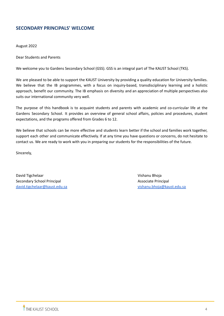# <span id="page-4-0"></span>**SECONDARY PRINCIPALS' WELCOME**

August 2022

Dear Students and Parents

We welcome you to Gardens Secondary School (GSS). GSS is an integral part of The KAUST School (TKS).

We are pleased to be able to support the KAUST University by providing a quality education for University families. We believe that the IB programmes, with a focus on inquiry-based, transdisciplinary learning and a holistic approach, benefit our community. The IB emphasis on diversity and an appreciation of multiple perspectives also suits our international community very well.

The purpose of this handbook is to acquaint students and parents with academic and co-curricular life at the Gardens Secondary School. It provides an overview of general school affairs, policies and procedures, student expectations, and the programs offered from Grades 6 to 12.

We believe that schools can be more effective and students learn better if the school and families work together, support each other and communicate effectively. If at any time you have questions or concerns, do not hesitate to contact us. We are ready to work with you in preparing our students for the responsibilities of the future.

Sincerely,

David Tigchelaar Vishanu Bhoja van die verschiedenisten van die verschiedenisten van die verschiedenisten van die v Secondary School Principal Associate Principal Associate Principal Associate Principal [david.tigchelaar@kaust.edu.sa](mailto:david.tigchelaar@kaust.edu.sa) [vishanu.bhoja@kaust.edu.sa](mailto:vishanu.bhoja@kaust.edu.sa)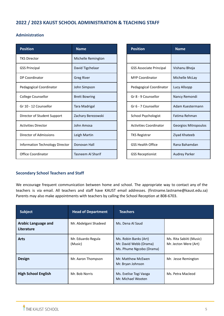# <span id="page-5-0"></span>**2022 / 2023 KAUST SCHOOL ADMINISTRATION & TEACHING STAFF**

# <span id="page-5-1"></span>**Administration**

| <b>Position</b>                 | <b>Name</b>          | <b>Position</b>                | <b>Name</b>          |
|---------------------------------|----------------------|--------------------------------|----------------------|
| <b>TKS Director</b>             | Michelle Remington   |                                |                      |
| <b>GSS Principal</b>            | David Tigchelaar     | <b>GSS Associate Principal</b> | Vishanu Bhoja        |
| DP Coordinator                  | <b>Greg River</b>    | <b>MYP Coordinator</b>         | Michelle McLay       |
| Pedagogical Coordinator         | John Simpson         | Pedagogical Coordinator        | Lucy Allsopp         |
| <b>College Counsellor</b>       | <b>Brett Bowring</b> | Gr 8 - 9 Counsellor            | Nancy Remondi        |
| Gr 10 - 12 Counsellor           | Tara Madrigal        | Gr 6 - 7 Counsellor            | Adam Kuestermann     |
| Director of Student Support     | Zachary Berezowski   | School Psychologist            | Fatima Rehman        |
| <b>Activities Director</b>      | John Amosa           | <b>Activities Coordinator</b>  | Georgios Mitropoulos |
| Director of Admissions          | Leigh Martin         | <b>TKS Registrar</b>           | Ziyad Khateeb        |
| Information Technology Director | Donovan Hall         | <b>GSS Health Office</b>       | Rana Bahamdan        |
| <b>Office Coordinator</b>       | Tasneem Al Sharif    | <b>GSS Receptionist</b>        | <b>Audrey Parker</b> |

| <b>Position</b>               | <b>Name</b>          |
|-------------------------------|----------------------|
|                               |                      |
| GSS Associate Principal       | Vishanu Bhoja        |
| <b>MYP Coordinator</b>        | Michelle McLay       |
| Pedagogical Coordinator       | Lucy Allsopp         |
| Gr 8 - 9 Counsellor           | Nancy Remondi        |
| Gr 6 - 7 Counsellor           | Adam Kuestermann     |
| School Psychologist           | Fatima Rehman        |
| <b>Activities Coordinator</b> | Georgios Mitropoulos |
| <b>TKS Registrar</b>          | Ziyad Khateeb        |
| GSS Health Office             | Rana Bahamdan        |
| <b>GSS Receptionist</b>       | <b>Audrey Parker</b> |

# <span id="page-5-2"></span>**Secondary School Teachers and Staff**

We encourage frequent communication between home and school. The appropriate way to contact any of the teachers is via email. All teachers and staff have KAUST email addresses. (firstname.lastname@kaust.edu.sa) Parents may also make appointments with teachers by calling the School Reception at 808-6703.

| <b>Subject</b>                           | <b>Head of Department</b>     | <b>Teachers</b>                                                             |                                                   |
|------------------------------------------|-------------------------------|-----------------------------------------------------------------------------|---------------------------------------------------|
| <b>Arabic Language and</b><br>Literature | Mr. Abdelgani Shadeed         | Ms. Dena Al Saud                                                            |                                                   |
| <b>Arts</b>                              | Mr. Eduardo Regula<br>(Music) | Ms. Robin Banks (Art)<br>Mr. David Webb (Drama)<br>Ms. Phume Ngcobo (Drama) | Ms. Rita Sabiiti (Music)<br>Mr. Jecton Were (Art) |
| <b>Design</b>                            | Mr. Aaron Thompson            | Mr. Matthew McEwen<br>Mr. Bryan Johnson                                     | Mr. Jesse Remington                               |
| <b>High School English</b>               | Mr. Bob Norris                | Ms. Evelise Togi Vaoga<br>Mr. Michael Wooten                                | Ms. Petra Macleod                                 |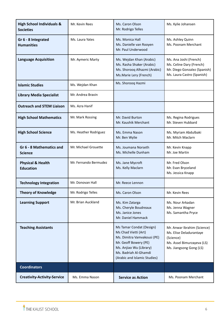| <b>High School Individuals &amp;</b><br><b>Societies</b> | Mr. Kevin Rees                                                 | Ms. Caron Olson<br>Mr. Rodrigo Telles                                                                                                                                                        | Ms. Kylie Johansen                                                                                                           |
|----------------------------------------------------------|----------------------------------------------------------------|----------------------------------------------------------------------------------------------------------------------------------------------------------------------------------------------|------------------------------------------------------------------------------------------------------------------------------|
| Gr 6 - 8 Integrated<br><b>Humanities</b>                 | Ms. Laura Yates                                                | Ms. Monica Hall<br>Ms. Ashley Quinn<br>Ms. Danielle van Rooyen<br>Ms. Poonam Merchant<br>Mr. Paul Underwood                                                                                  |                                                                                                                              |
| <b>Language Acquisition</b>                              | Mr. Aymeric Marty                                              | Ms. Wejdan Khan (Arabic)<br>Ms. Rasha Shaker (Arabic)<br>Ms. Shorooq Alhazmi (Arabic)<br>Ms.Marie Lery (French)                                                                              | Ms. Ana Joshi (French)<br>Ms. Celine Dary (French)<br>Mr. Diego Gonzalez (Spanish)<br>Ms. Laura Castro (Spanish)             |
| <b>Islamic Studies</b>                                   | Ms. Wejdan Khan                                                | Ms. Shorooq Hazmi                                                                                                                                                                            |                                                                                                                              |
| <b>Library Media Specialist</b>                          | Mr. Andrea Bravin                                              |                                                                                                                                                                                              |                                                                                                                              |
| <b>Outreach and STEM Liaison</b>                         | Ms. Azra Hanif                                                 |                                                                                                                                                                                              |                                                                                                                              |
| <b>High School Mathematics</b>                           | Mr. Mark Rossing                                               | Mr. David Burton<br>Mr. Kaushik Merchant                                                                                                                                                     | Ms. Regina Rodrigues<br>Mr. Steven Hubbard                                                                                   |
| <b>High School Science</b>                               | Ms. Heather Rodriguez                                          | Ms. Emma Nason<br>Mr. Ben Wylie                                                                                                                                                              | Ms. Myriam Abdulbaki<br>Mr. Mitch Maclarn                                                                                    |
| Gr 6 - 8 Mathematics and<br><b>Science</b>               | Mr. Michael Grouette                                           | Ms. Joumana Norseth<br>Ms. Michelle Dunham                                                                                                                                                   | Mr. Kevin Knapp<br>Mr. Joe Martin                                                                                            |
| <b>Physical &amp; Health</b><br><b>Education</b>         | Mr. Fernando Bermudez<br>Ms. Jane Mycroft<br>Ms. Kelly Maclarn |                                                                                                                                                                                              | Mr. Fred Olson<br>Mr. Evan Bryceland<br>Ms. Jessica Knapp                                                                    |
| <b>Technology Integration</b>                            | Mr. Donovan Hall                                               | Mr. Reece Lennon                                                                                                                                                                             |                                                                                                                              |
| <b>Theory of Knowledge</b>                               | Mr. Rodrigo Telles                                             | Ms. Caron Olson                                                                                                                                                                              | Mr. Kevin Rees                                                                                                               |
| Mr. Brian Auckland<br><b>Learning Support</b>            |                                                                | Ms. Kim Zatarga<br>Ms. Cheryle Boudreaux<br>Ms. Janice Jones<br>Mr. Daniel Hammack                                                                                                           | Ms. Nour Arkadan<br>Ms. Jenna Wagner<br>Ms. Samantha Pryce                                                                   |
| <b>Teaching Assistants</b>                               |                                                                | Ms Tamar Condat (Design)<br>Ms Chad Vietti (Art)<br>Ms. Dimitra Vamvakousi (PE)<br>Mr. Geoff Bowery (PE)<br>Ms. Anjiao Wu (Library)<br>Ms. Badriah Al-Ghamdi<br>(Arabic and Islamic Studies) | Mr. Anwar Ibrahim (Science)<br>Ms. Elise Deladurantaye<br>(Science)<br>Ms. Assel Bimurzayeva (LS)<br>Ms. Jiangsong Gong (LS) |
| <b>Coordinators</b>                                      |                                                                |                                                                                                                                                                                              |                                                                                                                              |
| <b>Creativity-Activity-Service</b>                       | Ms. Emma Nason                                                 | <b>Service as Action</b>                                                                                                                                                                     | Ms. Poonam Merchant                                                                                                          |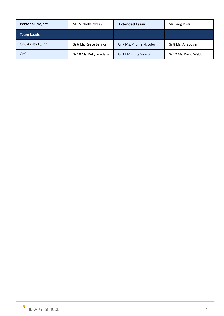| <b>Personal Project</b> | Mr. Michelle McLay      | <b>Extended Essay</b>  | Mr. Greg River       |
|-------------------------|-------------------------|------------------------|----------------------|
| <b>Team Leads</b>       |                         |                        |                      |
| Gr 6 Ashley Quinn       | Gr 6 Mr. Reece Lennon   | Gr 7 Ms. Phume Ngcobo  | Gr 8 Ms. Ana Joshi   |
| Gr 9                    | Gr 10 Ms. Kelly Maclarn | Gr 11 Ms. Rita Sabiiti | Gr 12 Mr. David Webb |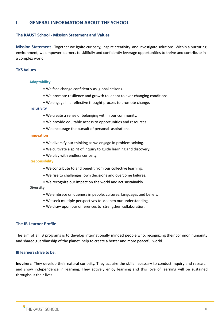# <span id="page-8-0"></span>**I. GENERAL INFORMATION ABOUT THE SCHOOL**

# <span id="page-8-1"></span>**The KAUST School - Mission Statement and Values**

**Mission Statement** - Together we ignite curiosity*,* inspire creativity and investigate solutions. Within a nurturing en*v*ironment, we empower learners to skillfully and confidently leverage opportunities to thrive and contribute in a complex world.

# **TKS Values**

#### **Adaptability**

- We face change confidently as global citizens.
- We promote resilience and growth to adapt to ever-changing conditions.
- We engage in a reflective thought process to promote change.

#### **Inclusivity**

- We create a sense of belonging within our community.
- We provide equitable access to opportunities and resources.
- We encourage the pursuit of personal aspirations.

#### **Innovation**

- We diversify our thinking as we engage in problem solving.
- We cultivate a spirit of inquiry to guide learning and discovery.
- We play with endless curiosity.

# **Responsibility**

- We contribute to and benefit from our collective learning.
- We rise to challenges, own decisions and overcome failures.
- We recognize our impact on the world and act sustainably.

#### **Diversity**

- We embrace uniqueness in people, cultures, languages and beliefs.
- We seek multiple perspectives to deepen our understanding.
- We draw upon our differences to strengthen collaboration.

# <span id="page-8-2"></span>**The IB Learner Profile**

The aim of all IB programs is to develop internationally minded people who, recognizing their common humanity and shared guardianship of the planet, help to create a better and more peaceful world.

# <span id="page-8-3"></span>**IB learners strive to be:**

**Inquirers:** They develop their natural curiosity. They acquire the skills necessary to conduct inquiry and research and show independence in learning. They actively enjoy learning and this love of learning will be sustained throughout their lives.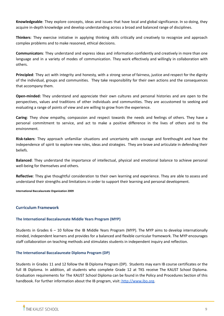**Knowledgeable**: They explore concepts, ideas and issues that have local and global significance. In so doing, they acquire in-depth knowledge and develop understanding across a broad and balanced range of disciplines.

**Thinkers**: They exercise initiative in applying thinking skills critically and creatively to recognize and approach complex problems and to make reasoned, ethical decisions.

**Communicators**: They understand and express ideas and information confidently and creatively in more than one language and in a variety of modes of communication. They work effectively and willingly in collaboration with others.

**Principled**: They act with integrity and honesty, with a strong sense of fairness, justice and respect for the dignity of the individual, groups and communities. They take responsibility for their own actions and the consequences that accompany them.

**Open-minded:** They understand and appreciate their own cultures and personal histories and are open to the perspectives, values and traditions of other individuals and communities. They are accustomed to seeking and evaluating a range of points of view and are willing to grow from the experience.

**Caring**: They show empathy, compassion and respect towards the needs and feelings of others. They have a personal commitment to service, and act to make a positive difference in the lives of others and to the environment.

**Risk-takers**: They approach unfamiliar situations and uncertainty with courage and forethought and have the independence of spirit to explore new roles, ideas and strategies. They are brave and articulate in defending their beliefs.

**Balanced**: They understand the importance of intellectual, physical and emotional balance to achieve personal well-being for themselves and others.

**Reflective**: They give thoughtful consideration to their own learning and experience. They are able to assess and understand their strengths and limitations in order to support their learning and personal development.

**International Baccalaureate Organization 2009**

#### <span id="page-9-0"></span>**Curriculum Framework**

#### <span id="page-9-1"></span>**The International Baccalaureate Middle Years Program (MYP)**

Students in Grades 6 – 10 follow the IB Middle Years Program (MYP). The MYP aims to develop internationally minded, independent learners and provides for a balanced and flexible curricular framework. The MYP encourages staff collaboration on teaching methods and stimulates students in independent inquiry and reflection.

#### <span id="page-9-2"></span>**The International Baccalaureate Diploma Program (DP)**

Students in Grades 11 and 12 follow the IB Diploma Program (DP). Students may earn IB course certificates or the full IB Diploma. In addition, all students who complete Grade 12 at TKS receive The KAUST School Diploma. Graduation requirements for The KAUST School Diploma can be found in the Policy and Procedures Section of this handbook. For further information about the IB program, visit: [http://www.ibo.org.](http://www.ibo.org)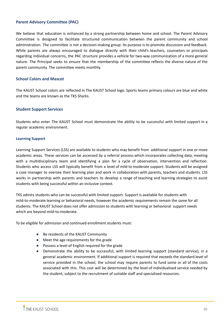# <span id="page-10-0"></span>**Parent Advisory Committee (PAC)**

We believe that education is enhanced by a strong partnership between home and school. The Parent Advisory Committee is designed to facilitate structured communication between the parent community and school administration. The committee is not a decision-making group. Its purpose is to promote discussion and feedback. While parents are always encouraged to dialogue directly with their child's teachers, counselors or principals regarding individual concerns, the PAC structure provides a vehicle for two-way communication of a more general nature. The Principal seeks to ensure that the membership of the committee reflects the diverse nature of the parent community. The committee meets monthly.

# <span id="page-10-1"></span>**School Colors and Mascot**

The KAUST School colors are reflected in The KAUST School logo. Sports teams primary colours are blue and white and the teams are known as the TKS Sharks.

# <span id="page-10-2"></span>**Student Support Services**

Students who enter The KAUST School must demonstrate the ability to be successful with limited support in a regular academic environment.

# <span id="page-10-3"></span>**Learning Support**

Learning Support Services (LSS) are available to students who may benefit from additional support in one or more academic areas. These services can be accessed by a referral process which incorporates collecting data, meeting with a multidisciplinary team and identifying a plan for a cycle of observation, intervention and reflection. Students who access LSS will typically benefit from a level of mild to moderate support. Students will be assigned a case manager to oversee their learning plan and work in collaboration with parents, teachers and students. LSS works in partnership with parents and teachers to develop a range of teaching and learning strategies to assist students with being successful within an inclusive context.

TKS admits students who can be successful with limited support. Support is available for students with mild-to-moderate learning or behavioral needs, however the academic requirements remain the same for all students. The KAUST School does not offer admission to students with learning or behavioral support needs which are beyond mild-to-moderate.

To be eligible for admission and continued enrollment students must:

- Be residents of the KAUST Community
- Meet the age requirements for the grade
- Possess a level of English required for the grade
- Demonstrate the ability to be successful, with limited learning support (standard service), in a general academic environment. If additional support is required that exceeds the standard level of service provided in the school, the school may require parents to fund some or all of the costs associated with this. This cost will be determined by the level of individualised service needed by the student, subject to the recruitment of suitable staff and specialised resources.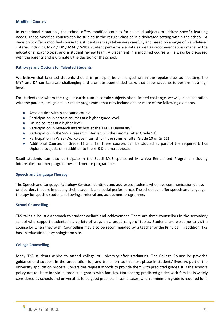#### **Modified Courses**

In exceptional situations, the school offers modified courses for selected subjects to address specific learning needs. These modified courses can be studied in the regular class or in a dedicated setting within the school. A decision to offer a modified course to a student is always taken very carefully and based on a range of well-defined criteria, including MYP / DP / MAP / WIDA student performance data as well as recommendations made by the educational psychologist and a student review team. A placement in a modified course will always be discussed with the parents and is ultimately the decision of the school.

#### **Pathways and Options for Talented Students**

We believe that talented students should, in principle, be challenged within the regular classroom setting. The MYP and DP curricula are challenging and promote open-ended tasks that allow students to perform at a high level.

For students for whom the regular curriculum in certain subjects offers limited challenge, we will, in collaboration with the parents, design a tailor-made programme that may include one or more of the following elements

- Acceleration within the same course
- Participation in certain courses at a higher grade level
- Online courses at a higher level
- Participation in research internships at the KAUST University
- Participation in the SRSI (Research Internship in the summer after Grade 11)
- Participation in WISE (Workplace Internship in the summer after Grade 10 or Gr 11)
- Additional Courses in Grade 11 and 12. These courses can be studied as part of the required 6 TKS Diploma subjects or in addition to the 6 IB Diploma subjects.

Saudi students can also participate in the Saudi MoE sponsored Mawhiba Enrichment Programs including internships, summer programmes and mentor programmes.

#### **Speech and Language Therapy**

The Speech and Language Pathology Services identifies and addresses students who have communication delays or disorders that are impacting their academic and social performance. The school can offer speech and language therapy for specific students following a referral and assessment programme.

#### <span id="page-11-0"></span>**School Counselling**

TKS takes a holistic approach to student welfare and achievement. There are three counsellors in the secondary school who support students in a variety of ways on a broad range of topics. Students are welcome to visit a counsellor when they wish. Counselling may also be recommended by a teacher or the Principal. In addition, TKS has an educational psychologist on site.

#### <span id="page-11-1"></span>**College Counselling**

Many TKS students aspire to attend college or university after graduating. The College Counsellor provides guidance and support in the preparation for, and transition to, this next phase in students' lives. As part of the university application process, universities request schools to provide them with predicted grades. It is the school's policy not to share individual predicted grades with families. Not sharing predicted grades with families is widely considered by schools and universities to be good practice. In some cases, when a minimum grade is required for a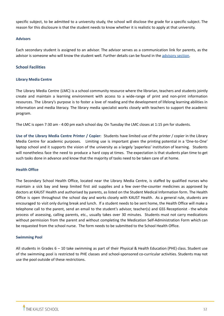specific subject, to be admitted to a university study, the school will disclose the grade for a specific subject. The reason for this disclosure is that the student needs to know whether it is realistic to apply at that university.

# <span id="page-12-0"></span>**Advisors**

Each secondary student is assigned to an advisor. The advisor serves as a communication link for parents, as the advisor is someone who will know the student well. Further details can be found in the [advisory](#page-16-2) section.

# <span id="page-12-1"></span>**School Facilities**

# <span id="page-12-2"></span>**Library Media Centre**

The Library Media Centre (LMC) is a school community resource where the librarian, teachers and students jointly create and maintain a learning environment with access to a wide-range of print and non-print information resources. The Library's purpose is to foster a love of reading and the development of lifelong learning abilities in information and media literacy. The library media specialist works closely with teachers to support the academic program.

The LMC is open 7:30 am - 4:00 pm each school day. On Tuesday the LMC closes at 1:15 pm for students.

**Use of the Library Media Centre Printer / Copier:** Students have limited use of the printer / copier in the Library Media Centre for academic purposes. Limiting use is important given the printing potential in a 'One-to-One' laptop school and it supports the vision of the university as a largely 'paperless' institution of learning. Students will nonetheless face the need to produce a hard copy at times. The expectation is that students plan time to get such tasks done in advance and know that the majority of tasks need to be taken care of at home.

# **Health Office**

The Secondary School Health Office, located near the Library Media Centre, is staffed by qualified nurses who maintain a sick bay and keep limited first aid supplies and a few over-the-counter medicines as approved by doctors at KAUST Health and authorised by parents, as listed on the Student Medical Information form. The Health Office is open throughout the school day and works closely with KAUST Health. As a general rule, students are encouraged to visit only during break and lunch. If a student needs to be sent home, the Health Office will make a telephone call to the parent, send an email to the student's advisor, teacher(s) and GSS Receptionist - the whole process of assessing, calling parents, etc., usually takes over 30 minutes. Students must not carry medications without permission from the parent and without completing the Medication Self-Administration Form which can be requested from the school nurse. The form needs to be submitted to the School Health Office.

# <span id="page-12-3"></span>**Swimming Pool**

All students in Grades 6 – 10 take swimming as part of their Physical & Health Education (PHE) class. Student use of the swimming pool is restricted to PHE classes and school-sponsored co-curricular activities. Students may not use the pool outside of these restrictions.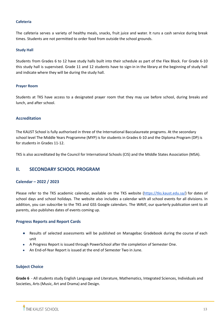#### <span id="page-13-0"></span>**Cafeteria**

The cafeteria serves a variety of healthy meals, snacks, fruit juice and water. It runs a cash service during break times. Students are not permitted to order food from outside the school grounds.

#### <span id="page-13-1"></span>**Study Hall**

Students from Grades 6 to 12 have study halls built into their schedule as part of the Flex Block. For Grade 6-10 this study hall is supervised. Grade 11 and 12 students have to sign-in in the library at the beginning of study hall and indicate where they will be during the study hall.

#### <span id="page-13-2"></span>**Prayer Room**

Students at TKS have access to a designated prayer room that they may use before school, during breaks and lunch, and after school.

# <span id="page-13-3"></span>**Accreditation**

The KAUST School is fully authorised in three of the International Baccalaureate programs. At the secondary school level The Middle Years Programme (MYP) is for students in Grades 6-10 and the Diploma Program (DP) is for students in Grades 11-12.

TKS is also accreditated by the Council for International Schools (CIS) and the MIddle States Association (MSA).

# <span id="page-13-4"></span>**II. SECONDARY SCHOOL PROGRAM**

# <span id="page-13-5"></span>**Calendar – 2022 / 2023**

Please refer to the TKS academic calendar, available on the TKS website [\(https://tks.kaust.edu.sa/](https://tks.kaust.edu.sa/)) for dates of school days and school holidays. The website also includes a calendar with all school events for all divisions. In addition, you can subscribe to the TKS and GSS Google calendars. The *WAVE*, our quarterly publication sent to all parents, also publishes dates of events coming up.

# <span id="page-13-6"></span>**Progress Reports and Report Cards**

- Results of selected assessments will be published on Managebac Gradebook during the course of each unit
- A Progress Report is issued through PowerSchool after the completion of Semester One.
- An End-of-Year Report is issued at the end of Semester Two in June.

# <span id="page-13-7"></span>**Subject Choice**

**Grade 6** - All students study English Language and Literature, Mathematics, Integrated Sciences, Individuals and Societies, Arts (Music, Art and Drama) and Design.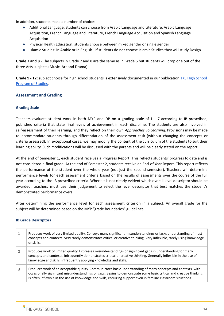In addition, students make a number of choices

- Additional Language: students can choose from Arabic Language and Literature, Arabic Language Acquisition, French Language and Literature, French Language Acquisition and Spanish Language Acquisition
- Physical Health Education; students choose between mixed gender or single gender
- Islamic Studies: in Arabic or in English if students do not choose Islamic Studies they will study Design

**Grade 7 and 8** - The subjects in Grade 7 and 8 are the same as in Grade 6 but students will drop one out of the three Arts subjects (Music, Art and Drama).

**Grade 9 - 12:** subject choice for high school students is extensively documented in our publication TKS High [School](https://tks.kaust.edu.sa/learning/gardens-secondary-school-gss/tks-high-school-program-of-studies) [Program](https://tks.kaust.edu.sa/learning/gardens-secondary-school-gss/tks-high-school-program-of-studies) of Studies.

# <span id="page-14-0"></span>**Assessment and Grading**

# <span id="page-14-1"></span>**Grading Scale**

Teachers evaluate student work in both MYP and DP on a grading scale of  $1 - 7$  according to IB prescribed, published criteria that state final levels of achievement in each discipline. The students are also involved in self-assessment of their learning, and they reflect on their own *Approaches To Learning*. Provisions may be made to accommodate students through differentiation of the assessment task (without changing the concepts or criteria assessed). In exceptional cases, we may modify the content of the curriculum of the students to suit their learning ability. Such modifications will be discussed with the parents and will be clearly stated on the report.

At the end of Semester 1, each student receives a Progress Report. This reflects students' progress to date and is not considered a final grade. At the end of Semester 2, students receive an End-of-Year Report. This report reflects the performance of the student over the whole year (not just the second semester). Teachers will determine performance levels for each assessment criteria based on the results of assessments over the course of the full year according to the IB prescribed criteria. Where it is not clearly evident which overall level descriptor should be awarded, teachers must use their judgement to select the level descriptor that best matches the student's demonstrated performance overall.

After determining the performance level for each assessment criterion in a subject. An overall grade for the subject will be determined based on the MYP "grade boundaries" guidelines.

#### **IB Grade Descriptors**

| 1 | Produces work of very limited quality. Conveys many significant misunderstandings or lacks understanding of most<br>concepts and contexts. Very rarely demonstrates critical or creative thinking. Very inflexible, rarely using knowledge<br>or skills.                                                                                                 |
|---|----------------------------------------------------------------------------------------------------------------------------------------------------------------------------------------------------------------------------------------------------------------------------------------------------------------------------------------------------------|
| 2 | Produces work of limited quality. Expresses misunderstandings or significant gaps in understanding for many<br>concepts and contexts. Infrequently demonstrates critical or creative thinking. Generally inflexible in the use of<br>knowledge and skills, infrequently applying knowledge and skills.                                                   |
| 3 | Produces work of an acceptable quality. Communicates basic understanding of many concepts and contexts, with<br>occasionally significant misunderstandings or gaps. Begins to demonstrate some basic critical and creative thinking.<br>Is often inflexible in the use of knowledge and skills, requiring support even in familiar classroom situations. |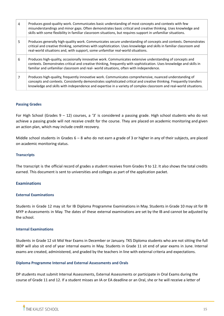| $\overline{4}$ | Produces good-quality work. Communicates basic understanding of most concepts and contexts with few<br>misunderstandings and minor gaps. Often demonstrates basic critical and creative thinking. Uses knowledge and<br>skills with some flexibility in familiar classroom situations, but requires support in unfamiliar situations.               |
|----------------|-----------------------------------------------------------------------------------------------------------------------------------------------------------------------------------------------------------------------------------------------------------------------------------------------------------------------------------------------------|
| 5              | Produces generally high-quality work. Communicates secure understanding of concepts and contexts. Demonstrates<br>critical and creative thinking, sometimes with sophistication. Uses knowledge and skills in familiar classroom and<br>real-world situations and, with support, some unfamiliar real-world situations.                             |
| 6              | Produces high-quality, occasionally innovative work. Communicates extensive understanding of concepts and<br>contexts. Demonstrates critical and creative thinking, frequently with sophistication. Uses knowledge and skills in<br>familiar and unfamiliar classroom and real- world situations, often with independence.                          |
|                | Produces high-quality, frequently innovative work. Communicates comprehensive, nuanced understanding of<br>concepts and contexts. Consistently demonstrates sophisticated critical and creative thinking. Frequently transfers<br>knowledge and skills with independence and expertise in a variety of complex classroom and real-world situations. |

# **Passing Grades**

For High School (Grades  $9 - 12$ ) courses, a '3' is considered a passing grade. High school students who do not achieve a passing grade will not receive credit for the course. They are placed on academic monitoring and given an action plan, which may include credit recovery.

Middle school students in Grades  $6 - 8$  who do not earn a grade of 3 or higher in any of their subjects, are placed on academic monitoring status.

# **Transcripts**

The transcript is the official record of grades a student receives from Grades 9 to 12. It also shows the total credits earned. This document is sent to universities and colleges as part of the application packet.

# <span id="page-15-0"></span>**Examinations**

# <span id="page-15-1"></span>**External Examinations**

Students in Grade 12 may sit for IB Diploma Programme Examinations in May. Students in Grade 10 may sit for IB MYP e-Assessments in May. The dates of these external examinations are set by the IB and cannot be adjusted by the school.

#### <span id="page-15-2"></span>**Internal Examinations**

Students in Grade 12 sit Mid Year Exams in December or January. TKS Diploma students who are not sitting the full IBDP will also sit end of year internal exams in May. Students in Grade 11 sit end of year exams in June. Internal exams are created, administered, and graded by the teachers in line with external criteria and expectations.

# **Diploma Programme Internal and External Assessments and Orals**

DP students must submit Internal Assessments, External Assessments or participate in Oral Exams during the course of Grade 11 and 12. If a student misses an IA or EA deadline or an Oral, she or he will receive a letter of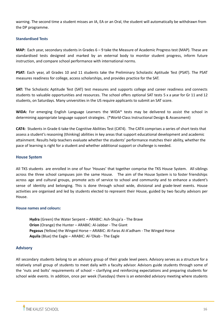warning. The second time a student misses an IA, EA or an Oral, the student will automatically be withdrawn from the DP programme.

# <span id="page-16-0"></span>**Standardised Tests**

**MAP:** Each year, secondary students in Grades 6 – 9 take the Measure of Academic Progress test (MAP). These are standardised tests designed and marked by an external body to monitor student progress, inform future instruction, and compare school performance with international norms.

**PSAT:** Each year, all Grades 10 and 11 students take the Preliminary Scholastic Aptitude Test (PSAT). The PSAT measures readiness for college, access scholarships, and provides practice for the SAT.

**SAT:** The Scholastic Aptitude Test (SAT) test measures and supports college and career readiness and connects students to valuable opportunities and resources. The school offers optional SAT tests 5 x a year for Gr 11 and 12 students, on Saturdays. Many universities in the US require applicants to submit an SAT score.

**WIDA:** For emerging English Language Learners the WIDA\* tests may be delivered to assist the school in determining appropriate language support strategies. (\*World-Class Instructional Design & Assessment)

**CAT4:** Students in Grade 6 take the Cognitive Abilities Test (CAT4). The CAT4 comprises a series of short tests that assess a student's reasoning (thinking) abilities in key areas that support educational development and academic attainment. Results help teachers evaluate whether the students' performance matches their ability, whether the pace of learning is right for a student and whether additional support or challenge is needed.

# <span id="page-16-1"></span>**House System**

All TKS students are enrolled in one of four 'Houses' that together comprise the TKS House System. All siblings across the three school campuses join the same House. The aim of the House System is to foster friendships across age and cultural groups, promote acts of service to school and community and to enhance a student's sense of identity and belonging. This is done through school wide, divisional and grade-level events. House activities are organised and led by students elected to represent their House, guided by two faculty advisors per House.

# **House names and colours:**

**Hydra** (Green) the Water Serpent – ARABIC: Ash-Shuja'a - The Brave **Orion** (Orange) the Hunter – ARABIC: Al-Jabbar - The Giant **Pegasus** (Yellow) the Winged Horse – ARABIC: Al-Faras Al-A'adham - The Winged Horse **Aquila** (Blue) the Eagle – ARABIC: Al-'Okab - The Eagle

# <span id="page-16-2"></span>**Advisory**

All secondary students belong to an advisory group of their grade level peers. Advisory serves as a structure for a relatively small group of students to meet daily with a faculty advisor. Advisors guide students through some of the 'nuts and bolts' requirements of school – clarifying and reinforcing expectations and preparing students for school wide events. In addition, once per week (Tuesdays) there is an extended advisory meeting where students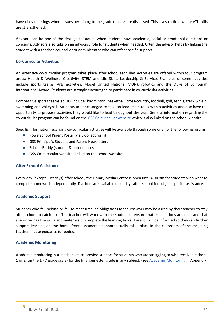have class meetings where issues pertaining to the grade or class are discussed. This is also a time where ATL skills are strengthened.

Advisors can be one of the first 'go to' adults when students have academic, social or emotional questions or concerns. Advisors also take on an advocacy role for students when needed. Often the advisor helps by linking the student with a teacher, counsellor or administrator who can offer specific support.

# <span id="page-17-0"></span>**Co-Curricular Activities**

An extensive co-curricular program takes place after school each day. Activities are offered within four program areas: Health & Wellness; Creativity; STEM and Life Skills, Leadership & Service. Examples of some activities include sports teams, Arts activities, Model United Nations (MUN), robotics and the Duke of Edinburgh International Award. Students are strongly encouraged to participate in co-curricular activities.

Competitive sports teams at TKS include: badminton, basketball, cross-country, football, golf, tennis, track & field, swimming and volleyball. Students are encouraged to take on leadership roles within activities and also have the opportunity to propose activities they would like to lead throughout the year. General information regarding the co-curricular program can be found on the GSS [Co-curricular](https://sites.google.com/thekaustschool.org/tks-co-curricular-program/home) website which is also linked on the school website.

Specific information regarding co-curricular activities will be available through some or all of the following forums:

- Powerschool Parent Portal (via E-collect form)
- GSS Principal's Student and Parent Newsletters
- SchoolsBuddy (student & parent access)
- GSS Co-curricular website (linked on the school website)

# <span id="page-17-1"></span>**After School Assistance**

Every day (except Tuesdays) after school, the Library Media Centre is open until 4.00 pm for students who want to complete homework independently. Teachers are available most days after school for subject specific assistance.

# <span id="page-17-2"></span>**Academic Support**

Students who fall behind or fail to meet timeline obligations for coursework may be asked by their teacher to stay after school to catch up. The teacher will work with the student to ensure that expectations are clear and that she or he has the skills and materials to complete the learning tasks. Parents will be informed so they can further support learning on the home front. Academic support usually takes place in the classroom of the assigning teacher in case guidance is needed.

# <span id="page-17-3"></span>**Academic Monitoring**

Academic monitoring is a mechanism to provide support for students who are struggling or who received either a 1 or 2 (on the 1 - 7 grade scale) for the final semester grade in any subject. (See Academic [Monitoring](#page-40-0) in Appendix)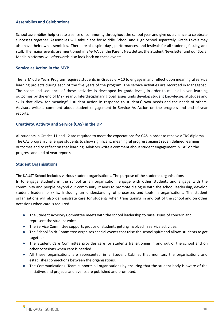# <span id="page-18-0"></span>**Assemblies and Celebrations**

School assemblies help create a sense of community throughout the school year and give us a chance to celebrate successes together. Assemblies will take place for Middle School and High School separately. Grade Levels may also have their own assemblies. There are also spirit days, performances, and festivals for all students, faculty, and staff. The major events are mentioned in *The Wave*, the Parent Newsletter, the Student Newsletter and our Social Media platforms will afterwards also look back on these events..

# <span id="page-18-1"></span>**Service as Action in the MYP**

The IB Middle Years Program requires students in Grades  $6 - 10$  to engage in and reflect upon meaningful service learning projects during each of the five years of the program. The service activities are recorded in Managebac. The scope and sequence of these activities is developed by grade levels, in order to meet all seven learning outcomes by the end of MYP Year 5. Interdisciplinary global issues units develop student knowledge, attitudes and skills that allow for meaningful student action in response to students' own needs and the needs of others. Advisors write a comment about student engagement in Service As Action on the progress and end of year reports.

# <span id="page-18-2"></span>**Creativity, Activity and Service (CAS) in the DP**

All students in Grades 11 and 12 are required to meet the expectations for CAS in order to receive a TKS diploma. The CAS program challenges students to show significant, meaningful progress against seven defined learning outcomes and to reflect on that learning. Advisors write a comment about student engagement in CAS on the progress and end of year reports.

# <span id="page-18-3"></span>**Student Organisations**

The KAUST School includes various student organisations. The purpose of the students organisations Is to engage students in the school as an organisation, engage with other students and engage with the community and people beyond our community. It aims to promote dialogue with the school leadership, develop student leadership skills, including an understanding of processes and tools in organisations. The student organisations will also demonstrate care for students when transitioning in and out of the school and on other occasions when care is required.

- The Student Advisory Committee meets with the school leadership to raise issues of concern and represent the student voice.
- The Service Committee supports groups of students getting involved in service activities.
- The School Spirit Committee organises special events that raise the school spirit and allows students to get together.
- The Student Care Committee provides care for students transitioning in and out of the school and on other occasions when care is needed.
- All these organisations are represented in a Student Cabinet that monitors the organisations and establishes connections between the organisations.
- The Communications Team supports all organisations by ensuring that the student body is aware of the initiatives and projects and events are published and promoted.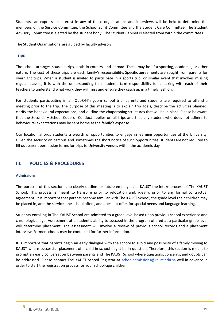Students can express an interest in any of these organisations and interviews will be held to determine the members of the Service Committee, the School Spirit Committee and the Student Care Committee. The Student Advisory Committee is elected by the student body. The Student Cabinet is elected from within the committees.

The Student Organisations are guided by faculty advisors.

# <span id="page-19-0"></span>**Trips**

The school arranges student trips, both in-country and abroad. These may be of a sporting, academic, or other nature. The cost of these trips are each family's responsibility. Specific agreements are sought from parents for overnight trips. When a student is invited to participate in a sports trip, or similar event that involves missing regular classes, it is with the understanding that students take responsibility for checking with each of their teachers to understand what work they will miss and ensure they catch up in a timely fashion.

For students participating in an Out-Of-Kingdom school trip, parents and students are required to attend a meeting prior to the trip. The purpose of this meeting is to explain trip goals, describe the activities planned, clarify the behavioural expectations, and outline the chaperoning structures that will be in place. Please be aware that the Secondary School Code of Conduct applies on all trips and that any student who does not adhere to behavioural expectations may be sent home at the family's expense.

Our location affords students a wealth of opportunities to engage in learning opportunities at the University. Given the security on campus and sometimes the short notice of such opportunities, students are not required to fill out parent permission forms for trips to University venues within the academic day.

# <span id="page-19-1"></span>**III. POLICIES & PROCEDURES**

# **Admissions**

The purpose of this section is to clearly outline for future employees of KAUST the intake process of The KAUST School. This process is meant to transpire prior to relocation and, ideally, prior to any formal contractual agreement. It is important that parents become familiar with The KAUST School, the grade level their children may be placed in, and the services the school offers, and does not offer, for special needs and language learning.

Students enrolling in The KAUST School are admitted to a grade level based upon previous school experience and chronological age. Assessment of a student's ability to succeed in the program offered at a particular grade level will determine placement. The assessment will involve a review of previous school records and a placement interview. Former schools may be contacted for further information.

It is important that parents begin an early dialogue with the school to avoid any possibility of a family moving to KAUST where successful placement of a child in school might be in question. Therefore, this section is meant to prompt an early conversation between parents and The KAUST School where questions, concerns, and doubts can be addressed. Please contact The KAUST School Registrar at [schooladmissions@kaust.edu.sa](mailto:schooladmissions@kaust.edu.sa) well in advance in order to start the registration process for your school-age children.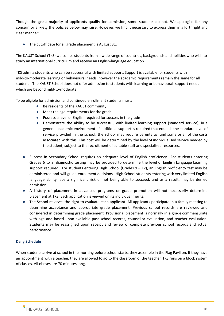Though the great majority of applicants qualify for admission, some students do not. We apologise for any concern or anxiety the policies below may raise. However, we find it necessary to express them in a forthright and clear manner:

● The cutoff date for all grade placement is August 31.

The KAUST School (TKS) welcomes students from a wide range of countries, backgrounds and abilities who wish to study an international curriculum and receive an English-language education.

TKS admits students who can be successful with limited support. Support is available for students with mild-to-moderate learning or behavioural needs, however the academic requirements remain the same for all students. The KAUST School does not offer admission to students with learning or behavioural support needs which are beyond mild-to-moderate.

To be eligible for admission and continued enrollment students must:

- Be residents of the KAUST community
- Meet the age requirements for the grade
- Possess a level of English required for success in the grade
- Demonstrate the ability to be successful, with limited learning support (standard service), in a general academic environment. If additional support is required that exceeds the standard level of service provided in the school, the school may require parents to fund some or all of the costs associated with this. This cost will be determined by the level of individualised service needed by the student, subject to the recruitment of suitable staff and specialised resources.
- Success in Secondary School requires an adequate level of English proficiency. For students entering Grades 6 to 8, diagnostic testing may be provided to determine the level of English Language Learning support required. For students entering High School (Grades  $9 - 12$ ), an English proficiency test may be administered and will guide enrollment decisions. High School students entering with very limited English language ability face a significant risk of not being able to succeed, and as a result, may be denied admission.
- A history of placement in advanced programs or grade promotion will not necessarily determine placement at TKS. Each application is viewed on its individual merits.
- The School reserves the right to evaluate each applicant. All applicants participate in a family meeting to determine acceptance and appropriate grade placement. Previous school records are reviewed and considered in determining grade placement. Provisional placement is normally in a grade commensurate with age and based upon available past school records, counsellor evaluation, and teacher evaluation. Students may be reassigned upon receipt and review of complete previous school records and actual performance.

# **Daily Schedule**

When students arrive at school in the morning before school starts, they assemble in the Flag Pavilion. If they have an appointment with a teacher, they are allowed to go to the classroom of the teacher. TKS runs on a block system of classes. All classes are 70 minutes long.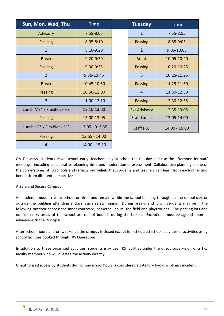| Sun, Mon, Wed, Thu       | <b>Time</b>     | <b>Tuesday</b>      | <b>Time</b>     |
|--------------------------|-----------------|---------------------|-----------------|
| Advisory                 | $7:55 - 8:05$   | $\mathbf{1}$        | $7:55 - 8:55$   |
| Passing                  | $8:05 - 8:10$   | Passing             | 8:55-9:05       |
| $\mathbf{1}$             | $8:10-9:20$     | $\overline{2}$      | 9:05-10:05      |
| <b>Break</b>             | $9:20 - 9:30$   | <b>Break</b>        | 10:05-10:20     |
| Passing                  | 9:30-9:35       | Passing             | 10:20-10:25     |
| $\overline{2}$           | 9:35-10:45      | $\overline{3}$      | 10:25-11:25     |
| <b>Break</b>             | 10:45-10:50     | Passing             | 11:25-11:30     |
| Passing                  | 10:50-11:00     | $\overline{4}$      | 11:30-12:30     |
| $\overline{3}$           | 11:00-12:10     | Passing             | 12:30-12:35     |
| Lunch MS* / FlexBlock HS | 12:10-13:00     | <b>Ext Advisory</b> | 12:35-13:05     |
| Passing                  | 13:00-13:05     | <b>Staff Lunch</b>  | 13:05-14:00     |
| Lunch HS* / FlexBlock MS | 13:05 - 013:55  | <b>Staff PLC</b>    | $14:00 - 16:00$ |
| <b>Passing</b>           | $13:55 - 14:00$ |                     |                 |
| $\overline{4}$           | $14:00 - 15:10$ |                     |                 |

On Tuesdays, students leave school early. Teachers stay at school the full day and use the afternoon for staff meetings, including collaborative planning time and moderation of assessment. Collaborative planning is one of the cornerstones of IB schools and reflects our beliefs that students and teachers can learn from each other and benefit from different perspectives.

# **A Safe and Secure Campus**

All students must arrive at school on time and remain within the school building throughout the school day, or outside the building attending a class, such as swimming. During breaks and lunch, students may be in the following outdoor spaces: the inner courtyard, basketball court, the field and playgrounds. The parking lots and outside entry areas of the school are out of bounds during the breaks. Exceptions must be agreed upon in advance with the Principal.

After school hours and on weekends the campus is closed except for scheduled school activities or activities using school facilities booked through TKS Operations.

In addition to these organised activities, students may use TKS facilities under the direct supervision of a TKS faculty member who will oversee the activity directly.

Unauthorised access by students during non-school hours is considered a category two disciplinary incident.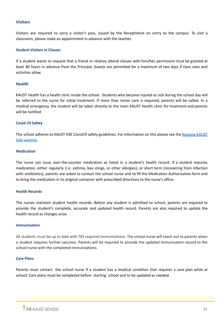# <span id="page-22-0"></span>**Visitors**

Visitors are required to carry a visitor's pass, issued by the Receptionist on entry to the campus. To visit a classroom, please make an appointment in advance with the teacher.

# <span id="page-22-1"></span>**Student Visitors in Classes**

If a student wants to request that a friend or relative attend classes with him/her, permission must be granted at least 48 hours in advance from the Principal. Guests are permitted for a maximum of two days if class sizes and activities allow.

# <span id="page-22-2"></span>**Health**

KAUST Health has a health clinic inside the school. Students who become injured or sick during the school day will be referred to the nurse for initial treatment. If more than minor care is required, parents will be called. In a medical emergency, the student will be taken directly to the main KAUST Health clinic for treatment and parents will be notified.

# **Covid-19 Safety**

The school adheres to KAUST HSE Covid19 safety guidelines. For information on this please see the [Keeping](https://hse.kaust.edu.sa/Services/Pages/covid-19.aspx) KAUST Safe [website.](https://hse.kaust.edu.sa/Services/Pages/covid-19.aspx)

# **Medication**

The nurse can issue over-the-counter medication as listed in a student's health record. If a student requires medication, either regularly (i.e. asthma, bee stings, or other allergies), or short term (recovering from infection with antibiotics), parents are asked to contact the school nurse and to fill the Medication Authorization form and to bring the medication in its original container with prescribed directions to the nurse's office.

# <span id="page-22-3"></span>**Health Records**

The nurses maintain student health records. Before any student is admitted to school, parents are required to provide the student's complete, accurate and updated health record. Parents are also required to update the health record as changes arise.

#### <span id="page-22-4"></span>**Immunisation**

All students must be up to date with TKS required immunizations. The school nurse will reach out to parents when a student requires further vaccines. Parents will be required to provide the updated immunisation record to the school nurse with the completed immunizations.

# <span id="page-22-5"></span>**Care Plans**

Parents must contact the school nurse if a student has a medical condition that requires a care plan while at school. Care plans must be completed before starting school and to be updated as needed.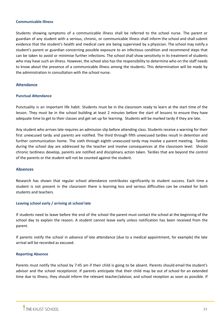#### <span id="page-23-0"></span>**Communicable Illness**

Students showing symptoms of a communicable illness shall be referred to the school nurse. The parent or guardian of any student with a serious, chronic, or communicable illness shall inform the school and shall submit evidence that the student's health and medical care are being supervised by a physician. The school may notify a student's parent or guardian concerning possible exposure to an infectious condition and recommend steps that can be taken to avoid or minimise further infections. The school shall show sensitivity in its treatment of students who may have such an illness. However, the school also has the responsibility to determine who on the staff needs to know about the presence of a communicable illness among the students. This determination will be made by the administration in consultation with the school nurse.

# <span id="page-23-1"></span>**Attendance**

#### <span id="page-23-2"></span>**Punctual Attendance**

Punctuality is an important life habit. Students must be in the classroom ready to learn at the start time of the lesson. They must be in the school building at least 2 minutes before the start of lessons to ensure they have adequate time to get to their classes and get set up for learning. Students will be marked tardy if they are late.

Any student who arrives late requires an admission slip before attending class. Students receive a warning for their first unexcused tardy and parents are notified. The third through fifth unexcused tardies result in detention and further communication home. The sixth through eighth unexcused tardy may involve a parent meeting. Tardies during the school day are addressed by the teacher and involve consequences at the classroom level. Should chronic tardiness develop, parents are notified and disciplinary action taken. Tardies that are beyond the control of the parents or the student will not be counted against the student.

# <span id="page-23-3"></span>**Absences**

Research has shown that regular school attendance contributes significantly to student success. Each time a student is not present in the classroom there is learning loss and serious difficulties can be created for both students and teachers.

#### **Leaving school early / arriving at school late**

If students need to leave before the end of the school the parent must contact the school at the beginning of the school day to explain the reason. A student cannot leave early unless notification has been received from the parent.

If parents notify the school in advance of late attendance (due to a medical appointment, for example) the late arrival will be recorded as excused.

#### **Reporting Absence**

Parents must notify the school by 7:45 am if their child is going to be absent. Parents should email the student's advisor and the school receptionist. If parents anticipate that their child may be out of school for an extended time due to illness, they should inform the relevant teacher/advisor, and school reception as soon as possible. If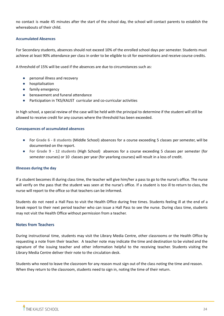no contact is made 45 minutes after the start of the school day, the school will contact parents to establish the whereabouts of their child.

# **Accumulated Absences**

For Secondary students, absences should not exceed 10% of the enrolled school days per semester. Students must achieve at least 90% attendance per class in order to be eligible to sit for examinations and receive course credits.

A threshold of 15% will be used if the absences are due to circumstances such as:

- personal illness and recovery
- hospitalisation
- family emergency
- bereavement and funeral attendance
- Participation in TKS/KAUST curricular and co-curricular activities

In high school, a special review of the case will be held with the principal to determine if the student will still be allowed to receive credit for any courses where the threshold has been exceeded.

# **Consequences of accumulated absences**

- For **Grade 6 - 8 students** (Middle School) absences for a course exceeding 5 classes per semester, will be documented on the report.
- **For Grade 9 - 12 students** (High School) absences for a course exceeding 5 classes per semester (for semester courses) or 10 classes per year (for yearlong courses) will result in a loss of credit.

# **Illnesses during the day**

If a student becomes ill during class time, the teacher will give him/her a pass to go to the nurse's office. The nurse will verify on the pass that the student was seen at the nurse's office. If a student is too ill to return to class, the nurse will report to the office so that teachers can be informed.

Students do not need a Hall Pass to visit the Health Office during free times. Students feeling ill at the end of a break report to their next period teacher who can issue a Hall Pass to see the nurse. During class time, students may not visit the Health Office without permission from a teacher.

# <span id="page-24-0"></span>**Notes from Teachers**

During instructional time, students may visit the Library Media Centre, other classrooms or the Health Office by requesting a note from their teacher. A teacher note may indicate the time and destination to be visited and the signature of the issuing teacher and other information helpful to the receiving teacher. Students visiting the Library Media Centre deliver their note to the circulation desk.

Students who need to leave the classroom for any reason must sign out of the class noting the time and reason. When they return to the classroom, students need to sign in, noting the time of their return.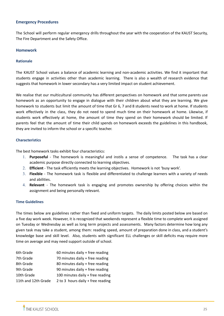# **Emergency Procedures**

The School will perform regular emergency drills throughout the year with the cooperation of the KAUST Security, The Fire Department and the Safety Office.

# <span id="page-25-0"></span>**Homework**

#### **Rationale**

The KAUST School values a balance of academic learning and non-academic activities. We find it important that students engage in activities other than academic learning. There is also a wealth of research evidence that suggests that homework in lower secondary has a very limited impact on student achievement.

We realise that our multicultural community has different perspectives on homework and that some parents use homework as an opportunity to engage in dialogue with their children about what they are learning. We give homework to students but limit the amount of time that Gr 6, 7 and 8 students need to work at home. If students work effectively in the class, they do not need to spend much time on their homework at home. Likewise, if students work effectively at home, the amount of time they spend on their homework should be limited. If parents feel that the amount of time their child spends on homework exceeds the guidelines in this handbook, they are invited to inform the school or a specific teacher.

#### **Characteristics**

The best homework tasks exhibit four characteristics:

- 1. **Purposeful** The homework is meaningful and instils a sense of competence. The task has a clear academic purpose directly connected to learning objectives.
- 2. **Efficient** The task efficiently meets the learning objectives. Homework is not 'busy work'.
- 3. **Flexible** The homework task is flexible and differentiated to challenge learners with a variety of needs and abilities.
- 4. **Relevant** The homework task is engaging and promotes ownership by offering choices within the assignment and being personally relevant.

# **Time Guidelines**

The times below are guidelines rather than fixed and uniform targets. The daily limits posted below are based on a five day work week. However, it is recognized that weekends represent a flexible time to complete work assigned on Tuesday or Wednesday as well as long term projects and assessments. Many factors determine how long any given task may take a student, among them: reading speed, amount of preparation done in class, and a student's knowledge base and skill level. Also, students with significant ELL challenges or skill deficits may require more time on average and may need support outside of school.

| 6th Grade           | 60 minutes daily + free reading   |
|---------------------|-----------------------------------|
| 7th Grade           | 70 minutes daily + free reading   |
| 8th Grade           | 80 minutes daily + free reading   |
| 9th Grade           | 90 minutes daily + free reading   |
| 10th Grade          | 100 minutes daily + free reading  |
| 11th and 12th Grade | 2 to 3 hours daily + free reading |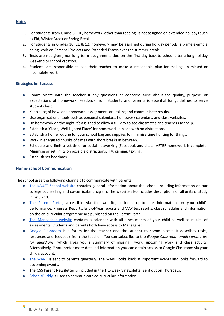#### **Notes**

- 1. For students from Grade 6 10, homework, other than reading, is not assigned on extended holidays such as Eid, Winter Break or Spring Break.
- 2. For students in Grades 10, 11 & 12, homework may be assigned during holiday periods, a prime example being work on Personal Projects and Extended Essays over the summer break.
- 3. Tests are not given, nor long term assignments due on the first day back to school after a long holiday weekend or school vacation.
- 4. Students are responsible to see their teacher to make a reasonable plan for making up missed or incomplete work.

# **Strategies for Success**

- Communicate with the teacher if any questions or concerns arise about the quality, purpose, or expectations of homework. Feedback from students and parents is essential for guidelines to serve students best.
- Keep a log of how long homework assignments are taking and communicate results.
- Use organisational tools such as personal calendars, homework calendars, and class websites.
- Do homework on the night it's assigned to allow a full day to see classmates and teachers for help.
- Establish a 'Clean, Well Lighted Place' for homework, a place with no distractions.
- Establish a home routine for your school bag and supplies to minimise time hunting for things.
- Work in energised chunks of times with short breaks in between.
- Schedule and limit a set time for social networking (Facebook and chats) AFTER homework is complete. Minimise or set limits on possible distractions: TV, gaming, texting.
- **Establish set bedtimes.**

# <span id="page-26-0"></span>**Home-School Communication**

The school uses the following channels to communicate with parents

- The KAUST School [website](http://tks.kaust.edu.sa/) contains general information about the school, including information on our college counselling and co-curricular program. The website also includes descriptions of all units of study in Gr 6 - 10.
- The [Parent](https://powerschool.kaust.edu.sa/public/) Portal, accessible via the website, includes up-to-date information on your child's performance. Progress Reports, End-of-Year reports and MAP test results, class schedules and information on the co-curricular programme are published on the Parent Portal.
- The [Managebac](https://kaust.managebac.com/) website contains a calendar with all assessments of your child as well as results of assessments. Students and parents both have access to Managebac.
- Google [Classroom](https://classroom.google.com/) is a forum for the teacher and the student to communicate. It describes tasks, resources and feedback from the teacher. You can subscribe to the *Google Classroom email summaries for guardians*, which gives you a summary of missing work, upcoming work and class activity. Alternatively, if you prefer more detailed information you can obtain access to Google Classroom via your child's account.
- The [WAVE](https://issuu.com/thekaustschool) is sent to parents quarterly. The WAVE looks back at important events and looks forward to upcoming events.
- The GSS Parent Newsletter is included in the TKS weekly newsletter sent out on Thursdays.
- [SchoolsBuddy](https://urldefense.com/v3/__http://click.schoolsbuddy.com/ls/click?upn=gXIGjcs2uL5LVbTIfPiOOubP9IPCWwnN-2FAmb6FwZr4AcqV3rDshX6ZB9Fx360i13IV2e_SiuBD-2BVSug-2Bk0JEvLkaoT7e7nqZKThHD8VR2z0phHjrc9p046c-2BgLERCGTxVjy9HT1l9Nvf6WDd-2FETdpfd9DhCmkI5a7HLJBxKCQ8VX0kEDfgp7R5vgCcfv-2B2RWrUXrOOTLv1o0XRA89bLcaxMt6MoB-2BVwM32muZmAjvL1deq8AYizqMJDJo8XC4Ctfs3v251lQBwhBVz8uyDYht-2FOquzRzT6n35jDaH7U93bpoHZa4-3D__;!!Nmw4Hv0!nKsKHLSOXbr9r_WYNRaIkt9u-Q2A7TCU61R7bRgTr4bItIHv57dapfjhF2lYrEm3woAERVDp5w$) is used to communicate co-curricular information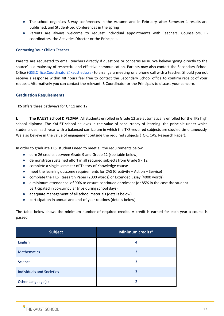- The school organises 3-way conferences in the Autumn and in February, after Semester 1 results are published, and Student-Led Conferences in the spring
- Parents are always welcome to request individual appointments with Teachers, Counsellors, IB coordinators, the Activities Director or the Principals.

# **Contacting Your Child's Teacher**

Parents are requested to email teachers directly if questions or concerns arise. We believe 'going directly to the source' is a mainstay of respectful and effective communication. Parents may also contact the Secondary School Office ([GSS.Office.Coordinator@kaust.edu.sa\)](mailto:GSS.Office.Coordinator@kaust.edu.sa) to arrange a meeting or a phone call with a teacher. Should you not receive a response within 48 hours feel free to contact the Secondary School office to confirm receipt of your request. Alternatively you can contact the relevant IB Coordinator or the Principals to discuss your concern.

# <span id="page-27-0"></span>**Graduation Requirements**

TKS offers three pathways for Gr 11 and 12

**I. The KAUST School DIPLOMA:** All students enrolled in Grade 12 are automatically enrolled for the TKS high school diploma. The KAUST school believes in the value of concurrency of learning: the principle under which students deal each year with a balanced curriculum in which the TKS-required subjects are studied simultaneously. We also believe in the value of engagement outside the required subjects (TOK, CAS, Research Paper).

In order to graduate TKS, students need to meet all the requirements below

- earn 26 credits between Grade 9 and Grade 12 (see table below)
- demonstrate sustained effort in all required subjects from Grade 9 12
- complete a single semester of Theory of Knowledge course
- meet the learning outcome requirements for CAS (Creativity Action Service)
- complete the TKS Research Paper (2000 words) or Extended Essay (4000 words)
- a minimum attendance of 90% to ensure continued enrolment (or 85% in the case the student participated in co-curricular trips during school days)
- adequate management of all school materials (details below)
- participation in annual and end-of-year routines (details below)

The table below shows the minimum number of required credits. A credit is earned for each year a course is passed.

| <b>Subject</b>                   | Minimum credits* |
|----------------------------------|------------------|
| English                          | 4                |
| <b>Mathematics</b>               | 3                |
| <b>Science</b>                   | 3                |
| <b>Individuals and Societies</b> | 3                |
| Other Language(s)                |                  |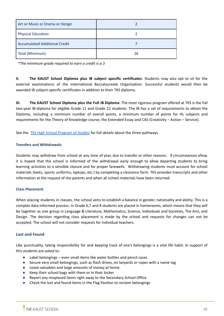| Art or Music or Drama or Design      |    |
|--------------------------------------|----|
| <b>Physical Education</b>            |    |
| <b>Accumulated Additional Credit</b> |    |
| Total (Minimum)                      | 26 |

*\*The minimum grade required to earn a credit is a 3*

**II. The KAUST School Diploma plus IB subject specific certificates**: Students may also opt to sit for the external examinations of the International Baccalaureate Organisation. Successful students would then be awarded IB subject-specific certificates in addition to their TKS diploma.

**III. The KAUST School Diploma plus the Full IB Diploma**: The most rigorous program offered at TKS is the full two-year IB-diploma for eligible Grade 11 and Grade 12 students. The IB has a set of requirements to obtain the Diploma, including a minimum number of overall points, a minimum number of points for HL subjects and requirements for the Theory of Knowledge course, the Extended Essay and CAS (Creativity – Action – Service).

See the TKS High School [Program](https://tks.kaust.edu.sa/learning/gardens-secondary-school-gss/tks-high-school-program-of-studies) of Studies for full details about the three pathways.

# **Transfers and Withdrawals**

Students may withdraw from school at any time of year, due to transfer or other reasons. If circumstances allow, it is hoped that the school is informed of the withdrawal early enough to allow departing students to bring learning activities to a sensible closure and for proper farewells. Withdrawing students must account for school materials (texts, sports uniforms, laptops, etc.) by completing a clearance form. TKS provides transcripts and other information at the request of the parents and when all school materials have been returned.

# **Class Placement**

When placing students in classes, the school aims to establish a balance in gender, nationality and ability. This is a complex data-informed process. In Grade 6,7 and 8 students are placed in homerooms, which means that they will be together as one group in Language & Literature, Mathematics, Science, Individuals and Societies, The Arts, and Design. The decision regarding class placement is made by the school and requests for changes can not be accepted. The school will not consider requests for individual teachers.

# <span id="page-28-0"></span>**Lost and Found**

Like punctuality, taking responsibility for and keeping track of one's belongings is a vital life habit. In support of this students are asked to:

- Label belongings even small items like water bottles and pencil cases
- Secure very small belongings, such as flash drives, on lanyards or ropes with a name tag
- Leave valuables and large amounts of money at home
- Keep their school bags with them or in their locker
- Report any misplaced items right away to the Secondary School Office
- Check the lost and found items in the Flag Pavilion to reclaim belongings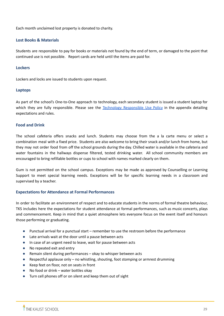Each month unclaimed lost property is donated to charity.

# <span id="page-29-0"></span>**Lost Books & Materials**

Students are responsible to pay for books or materials not found by the end of term, or damaged to the point that continued use is not possible. Report cards are held until the items are paid for.

# <span id="page-29-1"></span>**Lockers**

Lockers and locks are issued to students upon request.

# <span id="page-29-2"></span>**Laptops**

As part of the school's One-to-One approach to technology, each secondary student is issued a student laptop for which they are fully responsible. Please see the Technology [Responsible](#page-44-0) Use Policy in the appendix detailing expectations and rules.

# <span id="page-29-3"></span>**Food and Drink**

The school cafeteria offers snacks and lunch. Students may choose from the a la carte menu or select a combination meal with a fixed price. Students are also welcome to bring their snack and/or lunch from home, but they may not order food from off the school grounds during the day. Chilled water is available in the cafeteria and water fountains in the hallways dispense filtered, tested drinking water. All school community members are encouraged to bring refillable bottles or cups to school with names marked clearly on them.

Gum is not permitted on the school campus. Exceptions may be made as approved by Counselling or Learning Support to meet special learning needs. Exceptions will be for specific learning needs in a classroom and supervised by a teacher.

# <span id="page-29-4"></span>**Expectations for Attendance at Formal Performances**

In order to facilitate an environment of respect and to educate students in the norms of formal theatre behaviour, TKS includes here the expectations for student attendance at formal performances, such as music concerts, plays and commencement. Keep in mind that a quiet atmosphere lets everyone focus on the event itself and honours those performing or graduating.

- Punctual arrival for a punctual start remember to use the restroom before the performance
- Late arrivals wait at the door until a pause between acts
- In case of an urgent need to leave, wait for pause between acts
- No repeated exit and entry
- Remain silent during performances okay to whisper between acts
- Respectful applause only no whistling, shouting, foot stomping or armrest drumming
- Keep feet on floor, not on seats in front
- No food or drink water bottles okay
- Turn cell phones off or on silent and keep them out of sight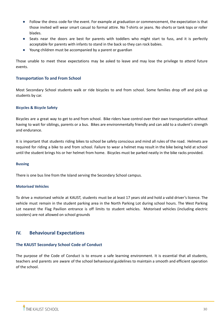- Follow the dress code for the event. For example at graduation or commencement, the expectation is that those invited will wear smart casual to formal attire. No T-shirts or jeans. No shorts or tank tops or roller blades.
- Seats near the doors are best for parents with toddlers who might start to fuss, and it is perfectly acceptable for parents with infants to stand in the back so they can rock babies.
- Young children must be accompanied by a parent or guardian

Those unable to meet these expectations may be asked to leave and may lose the privilege to attend future events.

# <span id="page-30-0"></span>**Transportation To and From School**

Most Secondary School students walk or ride bicycles to and from school. Some families drop off and pick up students by car.

# <span id="page-30-1"></span>**Bicycles & Bicycle Safety**

Bicycles are a great way to get to and from school. Bike riders have control over their own transportation without having to wait for siblings, parents or a bus. Bikes are environmentally friendly and can add to a student's strength and endurance.

It is important that students riding bikes to school be safety conscious and mind all rules of the road. Helmets are required for riding a bike to and from school. Failure to wear a helmet may result in the bike being held at school until the student brings his or her helmet from home. Bicycles must be parked neatly in the bike racks provided.

# <span id="page-30-2"></span>**Bussing**

There is one bus line from the Island serving the Secondary School campus.

# <span id="page-30-3"></span>**Motorised Vehicles**

<span id="page-30-4"></span>To drive a motorised vehicle at KAUST, students must be at least 17 years old and hold a valid driver's licence. The vehicle must remain in the student parking area in the North Parking Lot during school hours. The West Parking Lot nearest the Flag Pavilion entrance is off limits to student vehicles. Motorised vehicles (including electric scooters) are not allowed on school grounds

# <span id="page-30-5"></span>**IV. Behavioural Expectations**

# <span id="page-30-6"></span>**The KAUST Secondary School Code of Conduct**

The purpose of the Code of Conduct is to ensure a safe learning environment. It is essential that all students, teachers and parents are aware of the school behavioural guidelines to maintain a smooth and efficient operation of the school.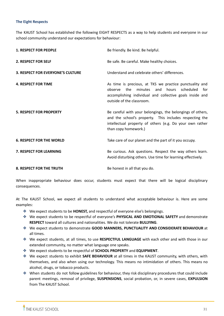# **The Eight Respects**

The KAUST School has established the following EIGHT RESPECTS as a way to help students and everyone in our school community understand our expectations for behaviour:

| <b>1. RESPECT FOR PEOPLE</b>             | Be friendly. Be kind. Be helpful.                                                                                                                                                                                 |
|------------------------------------------|-------------------------------------------------------------------------------------------------------------------------------------------------------------------------------------------------------------------|
| 2. RESPECT FOR SELF                      | Be safe. Be careful. Make healthy choices.                                                                                                                                                                        |
| <b>3. RESPECT FOR EVERYONE'S CULTURE</b> | Understand and celebrate others' differences.                                                                                                                                                                     |
| <b>4. RESPECT FOR TIME</b>               | As time is precious, at TKS we practice punctuality and<br>the<br>minutes<br>and<br>hours<br>scheduled<br>observe<br>for<br>accomplishing individual and collective goals inside and<br>outside of the classroom. |
| <b>5. RESPECT FOR PROPERTY</b>           | Be careful with your belongings, the belongings of others,<br>and the school's property. This includes respecting the<br>intellectual property of others (e.g. Do your own rather<br>than copy homework.)         |
| <b>6. RESPECT FOR THE WORLD</b>          | Take care of our planet and the part of it you occupy.                                                                                                                                                            |
| 7. RESPECT FOR LEARNING                  | Be curious. Ask questions. Respect the way others learn.<br>Avoid disturbing others. Use time for learning effectively.                                                                                           |
| <b>8. RESPECT FOR THE TRUTH</b>          | Be honest in all that you do.                                                                                                                                                                                     |

When inappropriate behaviour does occur, students must expect that there will be logical disciplinary consequences.

At The KAUST School, we expect all students to understand what acceptable behaviour is. Here are some examples:

- ❖ We expect students to be **HONEST,** and respectful of everyone else's belongings.
- ❖ We expect students to be respectful of everyone's **PHYSICAL AND EMOTIONAL SAFETY** and demonstrate **RESPECT** toward all cultures and nationalities. We do not tolerate **BULLYING**.
- ❖ We expect students to demonstrate **GOOD MANNERS, PUNCTUALITY AND CONSIDERATE BEHAVIOUR** at all times.
- ❖ We expect students, at all times, to use **RESPECTFUL LANGUAGE** with each other and with those in our extended community, no matter what language one speaks.
- ❖ We expect students to be respectful of **SCHOOL PROPERTY** and **EQUIPMENT**.
- ❖ We expect students to exhibit **SAFE BEHAVIOUR** at all times in the KAUST community, with others, with themselves, and also when using our technology. This means no intimidation of others. This means no alcohol, drugs, or tobacco products.
- ❖ When students do not follow guidelines for behaviour, they risk disciplinary procedures that could include parent meetings, removal of privilege, **SUSPENSIONS**, social probation, or, in severe cases, **EXPULSION** from The KAUST School.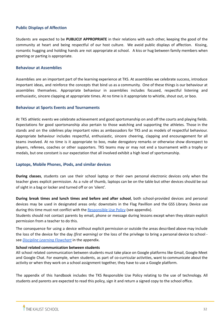# <span id="page-32-0"></span>**Public Displays of Affection**

Students are expected to be **PUBLICLY APPROPRIATE** in their relations with each other, keeping the good of the community at heart and being respectful of our host culture. We avoid public displays of affection. Kissing, romantic hugging and holding hands are not appropriate at school. A kiss or hug between family members when greeting or parting is appropriate.

#### <span id="page-32-1"></span>**Behaviour at Assemblies**

Assemblies are an important part of the learning experience at TKS. At assemblies we celebrate success, introduce important ideas, and reinforce the concepts that bind us as a community. One of these things is our behaviour at assemblies themselves. Appropriate behaviour in assemblies includes focused, respectful listening and enthusiastic, sincere clapping at appropriate times. At no time is it appropriate to whistle, shout out, or boo.

#### <span id="page-32-2"></span>**Behaviour at Sports Events and Tournaments**

At TKS athletic events we celebrate achievement and good sportsmanship on and off the courts and playing fields. Expectations for good sportsmanship also pertain to those watching and supporting the athletes. Those in the stands and on the sidelines play important roles as ambassadors for TKS and as models of respectful behaviour. Appropriate behaviour includes respectful, enthusiastic, sincere cheering, clapping and encouragement for all teams involved. At no time is it appropriate to boo, make derogatory remarks or otherwise show disrespect to players, referees, coaches or other supporters. TKS teams may or may not end a tournament with a trophy or medals, but one constant is our expectation that all involved exhibit a high level of sportsmanship.

# <span id="page-32-3"></span>**Laptops, Mobile Phones, iPods, and similar devices**

**During classes**, students can use their school laptop or their own personal electronic devices only when the teacher gives explicit permission. As a rule of thumb, laptops can be on the table but other devices should be out of sight in a bag or locker and turned off or on 'silent'.

**During break times and lunch times and before and after school**, both school-provided devices and personal devices may be used in designated areas only: downstairs in the Flag Pavillion and the GSS Library. Device use during this time must not conflict with the [Responsible](#page-44-0) Use Policy (see appendix).

Students should not contact parents by email, phone or message during lessons except when they obtain explicit permission from a teacher to do this.

The consequence for using a device without explicit permission or outside the areas described above may include the loss of the device for the day *(first warning)* or the loss of the privilege to bring a personal device to school see *Discipline Learning [Flowchart](#page-42-0)* in the appendix.

#### **School related communication between students**

All school related communication between students must take place on Google platforms like Gmail, Google Meet and Google Chat. For example, when students, as part of co-curricular activities, want to communicate about the activity or when they work on a school assignment together, they have to use a Google platform.

The appendix of this handbook includes the TKS Responsible Use Policy relating to the use of technology. All students and parents are expected to read this policy, sign it and return a signed copy to the school office.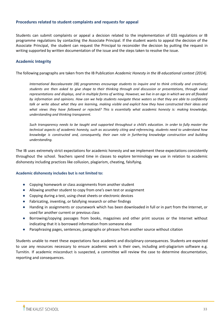# <span id="page-33-0"></span>**Procedures related to student complaints and requests for appeal**

Students can submit complaints or appeal a decision related to the implementation of GSS regulations or IB programme regulations by contacting the Associate Principal. If the student wants to appeal the decision of the Associate Principal, the student can request the Principal to reconsider the decision by putting the request in writing supported by written documentation of the issue and the steps taken to resolve the issue.

# <span id="page-33-1"></span>**Academic Integrity**

The following paragraphs are taken from the IB Publication *Academic Honesty in the IB educational context (2014).*

*International Baccalaureate (IB) programmes encourage students to inquire and to think critically and creatively;* students are then asked to give shape to their thinking through oral discussion or presentations, through visual representations and displays, and in multiple forms of writing. However, we live in an age in which we are all flooded by information and opinions. How can we help students navigate these waters so that they are able to confidently talk or write about what they are learning, making visible and explicit how they have constructed their ideas and *what views they have followed or rejected? This is essentially what academic honesty is: making knowledge, understanding and thinking transparent.*

Such transparency needs to be taught and supported throughout a child's education. In order to fully master the technical aspects of academic honesty, such as accurately citing and referencing, students need to understand how *knowledge is constructed and, consequently, their own role in furthering knowledge construction and building understanding.*

The IB uses extremely strict expectations for academic honesty and we implement these expectations consistently throughout the school. Teachers spend time in classes to explore terminology we use in relation to academic dishonesty including practices like collusion, plagiarism, cheating, falsifying.

#### <span id="page-33-2"></span>**Academic dishonesty includes but is not limited to:**

- Copying homework or class assignments from another student
- Allowing another student to copy from one's own test or assignment
- Copying during a test, using cheat sheets or electronic devices
- Fabricating, inventing, or falsifying research or other findings
- Handing in assignments or coursework which has been downloaded in full or in part from the Internet, or used for another current or previous class
- Borrowing/copying passages from books, magazines and other print sources or the Internet without indicating that it is borrowed information from someone else
- Paraphrasing pages, sentences, paragraphs or phrases from another source without citation

Students unable to meet these expectations face academic and disciplinary consequences. Students are expected to use any resources necessary to ensure academic work is their own, including anti-plagiarism software e.g. Turnitin. If academic misconduct is suspected, a committee will review the case to determine documentation, reporting and consequences.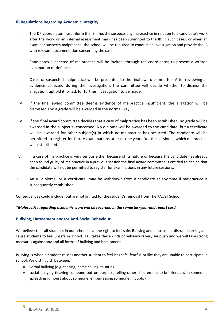# <span id="page-34-0"></span>**IB Regulations Regarding Academic Integrity**

- I. The DP coordinator must inform the IB if he/she suspects any malpractice in relation to a candidate's work after the work or an internal assessment mark has been submitted to the IB. In such cases, or when an examiner suspects malpractice, the school will be required to conduct an investigation and provide the IB with relevant documentation concerning the case.
- II. Candidates suspected of malpractice will be invited, through the coordinator, to present a written explanation or defence.
- III. Cases of suspected malpractice will be presented to the final award committee. After reviewing all evidence collected during the investigation, the committee will decide whether to dismiss the allegation, uphold it, or ask for further investigation to be made.
- IV. If the final award committee deems evidence of malpractice insufficient, the allegation will be dismissed and a grade will be awarded in the normal way.
- V. If the final award committee decides that a case of malpractice has been established, no grade will be awarded in the subject(s) concerned. No diploma will be awarded to the candidate, but a certificate will be awarded for other subject(s) in which no malpractice has occurred. The candidate will be permitted to register for future examinations at least one year after the session in which malpractice was established.
- VI. If a case of malpractice is very serious either because of its nature or because the candidate has already been found guilty of malpractice in a previous session the final award committee is entitled to decide that the candidate will not be permitted to register for examinations in any future sessions.
- VII. An IB diploma, or a certificate, may be withdrawn from a candidate at any time if malpractice is subsequently established.

Consequences could include (but are not limited to) the student's removal from The KAUST School.

# *\*Malpractice regarding academic work will be recorded in the semester/year-end report card.*

# <span id="page-34-1"></span>**Bullying, Harassment and/or Anti-Social Behaviour**

We believe that all students in our school have the right to feel safe. Bullying and harassment disrupt learning and cause students to feel unsafe in school. TKS takes these kinds of behaviours very seriously and we will take strong measures against any and all forms of bullying and harassment.

Bullying is when a student causes another student to feel less safe, fearful, or like they are unable to participate in school. We distinguish between:

- verbal bullying (e.g. teasing, name calling, taunting)
- social bullying (leaving someone out on purpose, telling other children not to be friends with someone, spreading rumours about someone, embarrassing someone in public)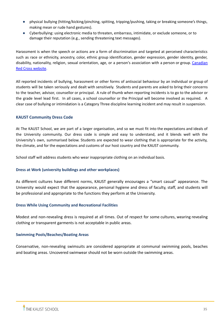- physical bullying (hitting/kicking/pinching, spitting, tripping/pushing, taking or breaking someone's things, making mean or rude hand gestures).
- Cyberbullying: using electronic media to threaten, embarrass, intimidate, or exclude someone, or to damage their reputation (e.g., sending threatening text messages).

Harassment is when the speech or actions are a form of discrimination and targeted at perceived characteristics such as race or ethnicity, ancestry, color, ethnic group identification, gender expression, gender identity, gender, disability, nationality, religion, sexual orientation, age, or a person's association with a person or group. [Canadian](https://www.redcross.ca/how-we-help/violence-bullying-and-abuse-prevention/educators/bullying-and-harassment-prevention/definitions-of-bullying-and-harassment) Red Cross [website](https://www.redcross.ca/how-we-help/violence-bullying-and-abuse-prevention/educators/bullying-and-harassment-prevention/definitions-of-bullying-and-harassment).

All reported incidents of bullying, harassment or other forms of antisocial behaviour by an individual or group of students will be taken seriously and dealt with sensitively. Students and parents are asked to bring their concerns to the teacher, advisor, counsellor or principal. A rule of thumb when reporting incidents is to go to the advisor or the grade level lead first. In all cases, a school counsellor or the Principal will become involved as required. A clear case of bullying or intimidation is a Category Three discipline learning incident and may result in suspension.

# <span id="page-35-0"></span>**KAUST Community Dress Code**

At The KAUST School, we are part of a larger organisation, and so we must fit into the expectations and ideals of the University community. Our dress code is simple and easy to understand, and it blends well with the University's own, summarised below. Students are expected to wear clothing that is appropriate for the activity, the climate, and for the expectations and customs of our host country and the KAUST community.

School staff will address students who wear inappropriate clothing on an individual basis.

# **Dress at Work (university buildings and other workplaces)**

As different cultures have different norms, KAUST generally encourages a "smart casual" appearance. The University would expect that the appearance, personal hygiene and dress of faculty, staff, and students will be professional and appropriate to the functions they perform at the University.

# **Dress While Using Community and Recreational Facilities**

Modest and non-revealing dress is required at all times. Out of respect for some cultures, wearing revealing clothing or transparent garments is not acceptable in public areas.

# **Swimming Pools/Beaches/Boating Areas**

Conservative, non-revealing swimsuits are considered appropriate at communal swimming pools, beaches and boating areas. Uncovered swimwear should not be worn outside the swimming areas.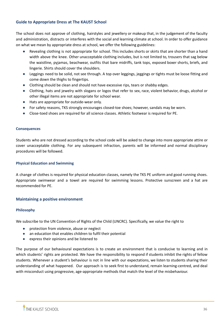# <span id="page-36-0"></span>**Guide to Appropriate Dress at The KAUST School**

The school does not approve of clothing, hairstyles and jewellery or makeup that, in the judgement of the faculty and administration, distracts or interferes with the social and learning climate at school. In order to offer guidance on what we mean by appropriate dress at school, we offer the following guidelines:

- Revealing clothing is not appropriate for school. This includes shorts or skirts that are shorter than a hand width above the knee. Other unacceptable clothing includes, but is not limited to, trousers that sag below the waistline, pyjamas, beachwear, outfits that bare midriffs, tank tops, exposed boxer shorts, briefs, and lingerie. Shirts should cover the shoulders.
- Leggings need to be solid, not see through. A top over leggings, jeggings or tights must be loose fitting and come down the thighs to fingertips.
- Clothing should be clean and should not have excessive rips, tears or shabby edges.
- Clothing, hats and jewelry with slogans or logos that refer to sex, race, violent behavior, drugs, alcohol or other illegal items are not appropriate for school wear.
- Hats are appropriate for outside-wear only.
- For safety reasons, TKS strongly encourages closed-toe shoes; however, sandals may be worn.
- Close-toed shoes are required for all science classes. Athletic footwear is required for PE.

# <span id="page-36-1"></span>**Consequences**

Students who are not dressed according to the school code will be asked to change into more appropriate attire or cover unacceptable clothing. For any subsequent infraction, parents will be informed and normal disciplinary procedures will be followed.

# <span id="page-36-2"></span>**Physical Education and Swimming**

A change of clothes is required for physical education classes, namely the TKS PE uniform and good running shoes. Appropriate swimwear and a towel are required for swimming lessons. Protective sunscreen and a hat are recommended for PE.

# <span id="page-36-3"></span>**Maintaining a positive environment**

# <span id="page-36-4"></span>**Philosophy**

We subscribe to the UN Convention of Rights of the Child (UNCRC). Specifically, we value the right to

- protection from violence, abuse or neglect
- an education that enables children to fulfil their potential
- express their opinions and be listened to

The purpose of our behavioural expectations is to create an environment that is conducive to learning and in which students' rights are protected. We have the responsibility to respond if students inhibit the rights of fellow students. Whenever a student's behaviour is not in line with our expectations, we listen to students sharing their understanding of what happened. Our approach is to seek first to understand, remain learning-centred, and deal with misconduct using progressive, age-appropriate methods that match the level of the misbehaviour.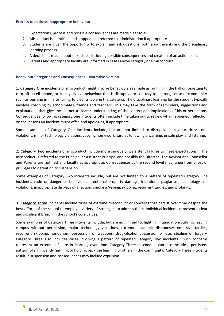#### <span id="page-37-0"></span>**Process to address inappropriate behaviour**

- 1. Expectations, process and possible consequences are made clear to all
- 2. Misconduct is identified and stopped and referred to administration if appropriate
- 3. Students are given the opportunity to explain and ask questions, both about events and the disciplinary learning process
- 4. A decision is made about next steps, including possible consequences and creation of an action plan.
- 5. Parents and appropriate faculty are informed in cases above category one misconduct

# <span id="page-37-1"></span>**Behaviour Categories and Consequences – Narrative Version**

1. **Category One** incidents of misconduct might involve behaviours as simple as running in the hall or forgetting to turn off a cell phone, or it may involve behaviour that is disruptive or contrary to a strong sense of community, such as pushing in line or failing to clear a table in the cafeteria. The disciplinary learning for the student typically involves coaching by schoolmates, friends and teachers. This may take the form of reminders, suggestions and explanations that give the learner a clearer understanding of the context and implications of his or her actions. Consequences following category one incidents often include time taken out to review what happened, reflection on the lessons an incident might offer, and apologies, if appropriate.

Some examples of Category One incidents include, but are not limited to disruptive behaviour, dress code violations, minor technology violations, copying homework, tardies following a warning, unsafe play, and littering.

2. **Category Two** incidents of misconduct include more serious or persistent failures to meet expectations. The misconduct is referred to the Principal or Assistant Principal and possibly the Director. The Advisor and Counsellor and Parents are notified and faculty as appropriate. Consequences at the second level may range from a loss of privileges to detention to suspension.

Some examples of Category Two incidents include, but are not limited to a pattern of repeated Category One incidents, rude or dangerous behaviour, intentional property damage, intentional plagiarism, technology use violations, inappropriate displays of affection, smoking/vaping, skipping, recurrent tardies, and profanity.

3. **Category Three** incidents include cases of extreme misconduct or concerns that persist over time despite the best efforts of the school to employ a variety of strategies to address them. Individual incidents represent a clear and significant breach in the school's core values.

Some examples of Category Three incidents include, but are not limited to: fighting, intimidation/bullying, leaving campus without permission, major technology violations, extreme academic dishonesty, excessive tardies, recurrent skipping, vandalism, possession of weapons, drug/alcohol possession or use, stealing or forgery. Category Three also includes cases involving a pattern of repeated Category Two incidents. Such concerns represent an extended failure in learning over time. Category Three misconduct can also include a persistent pattern of significantly harming or holding back the learning of others in the community. Category Three incidents result in suspension and consequences may include expulsion.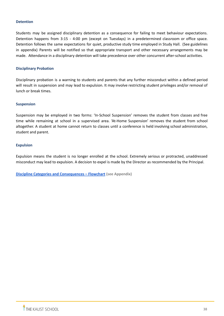#### <span id="page-38-0"></span>**Detention**

Students may be assigned disciplinary detention as a consequence for failing to meet behaviour expectations. Detention happens from 3:15 - 4:00 pm (except on Tuesdays) in a predetermined classroom or office space. Detention follows the same expectations for quiet, productive study time employed in Study Hall. (See guidelines in appendix) Parents will be notified so that appropriate transport and other necessary arrangements may be made. Attendance in a disciplinary detention will take precedence over other concurrent after-school activities.

# <span id="page-38-1"></span>**Disciplinary Probation**

Disciplinary probation is a warning to students and parents that any further misconduct within a defined period will result in suspension and may lead to expulsion. It may involve restricting student privileges and/or removal of lunch or break times.

#### <span id="page-38-2"></span>**Suspension**

Suspension may be employed in two forms: 'In-School Suspension' removes the student from classes and free time while remaining at school in a supervised area. 'At-Home Suspension' removes the student from school altogether. A student at home cannot return to classes until a conference is held involving school administration, student and parent.

#### <span id="page-38-3"></span>**Expulsion**

Expulsion means the student is no longer enrolled at the school. Extremely serious or protracted, unaddressed misconduct may lead to expulsion. A decision to expel is made by the Director as recommended by the Principal.

<span id="page-38-4"></span>**Discipline Categories and [Consequences](#page-42-0) – Flowchart (see Appendix)**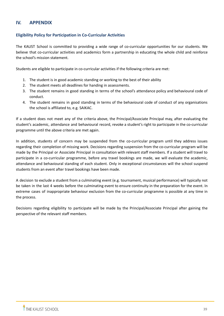# <span id="page-39-0"></span>**IV. APPENDIX**

# <span id="page-39-1"></span>**Eligibility Policy for Participation in Co-Curricular Activities**

The KAUST School is committed to providing a wide range of co-curricular opportunities for our students. We believe that co-curricular activities and academics form a partnership in educating the whole child and reinforce the school's mission statement.

Students are eligible to participate in co-curricular activities if the following criteria are met:

- 1. The student is in good academic standing or working to the best of their ability
- 2. The student meets all deadlines for handing in assessments.
- 3. The student remains in good standing in terms of the school's attendance policy and behavioural code of conduct.
- 4. The student remains in good standing in terms of the behavioural code of conduct of any organisations the school is affiliated to, e.g. SAIKAC.

If a student does not meet any of the criteria above, the Principal/Associate Principal may, after evaluating the student's academic, attendance and behavioural record, revoke a student's right to participate in the co-curricular programme until the above criteria are met again.

In addition, students of concern may be suspended from the co-curricular program until they address issues regarding their completion of missing work. Decisions regarding suspension from the co-curricular program will be made by the Principal or Associate Principal in consultation with relevant staff members. If a student will travel to participate in a co-curricular programme, before any travel bookings are made, we will evaluate the academic, attendance and behavioural standing of each student. Only in exceptional circumstances will the school suspend students from an event after travel bookings have been made.

A decision to exclude a student from a culminating event (e.g. tournament, musical performance) will typically not be taken in the last 4 weeks before the culminating event to ensure continuity in the preparation for the event. In extreme cases of inappropriate behaviour exclusion from the co-curricular programme is possible at any time in the process.

Decisions regarding eligibility to participate will be made by the Principal/Associate Principal after gaining the perspective of the relevant staff members.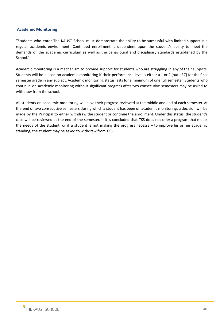# <span id="page-40-0"></span>**Academic Monitoring**

"Students who enter The KAUST School must demonstrate the ability to be successful with limited support in a regular academic environment. Continued enrollment is dependent upon the student's ability to meet the demands of the academic curriculum as well as the behavioural and disciplinary standards established by the School."

Academic monitoring is a mechanism to provide support for students who are struggling in any of their subjects. Students will be placed on academic monitoring if their performance level is either a 1 or 2 (out of 7) for the final semester grade in any subject. Academic monitoring status lasts for a minimum of one full semester. Students who continue on academic monitoring without significant progress after two consecutive semesters may be asked to withdraw from the school.

All students on academic monitoring will have their progress reviewed at the middle and end of each semester. At the end of two consecutive semesters during which a student has been on academic monitoring, a decision will be made by the Principal to either withdraw the student or continue the enrollment. Under this status, the student's case will be reviewed at the end of the semester. If it is concluded that TKS does not offer a program that meets the needs of the student, or if a student is not making the progress necessary to improve his or her academic standing, the student may be asked to withdraw from TKS.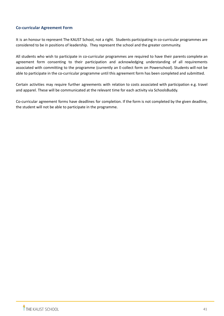# <span id="page-41-0"></span>**Co-curricular Agreement Form**

It is an honour to represent The KAUST School, not a right. Students participating in co-curricular programmes are considered to be in positions of leadership. They represent the school and the greater community.

All students who wish to participate in co-curricular programmes are required to have their parents complete an agreement form consenting to their participation and acknowledging understanding of all requirements associated with committing to the programme (currently an E-collect form on Powerschool). Students will not be able to participate in the co-curricular programme until this agreement form has been completed and submitted.

Certain activities may require further agreements with relation to costs associated with participation e.g. travel and apparel. These will be communicated at the relevant time for each activity via SchoolsBuddy.

Co-curricular agreement forms have deadlines for completion. If the form is not completed by the given deadline, the student will not be able to participate in the programme.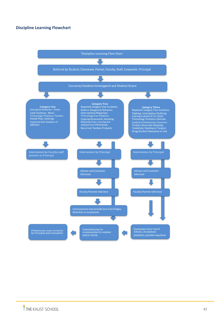# <span id="page-42-0"></span>**Discipline Learning Flowchart**

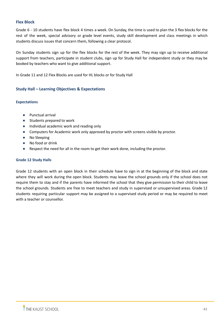# <span id="page-43-0"></span>**Flex Block**

Grade 6 - 10 students have flex block 4 times a week. On Sunday, the time is used to plan the 3 flex blocks for the rest of the week, special advisory or grade level events, study skill development and class meetings in which students discuss issues that concern them, following a clear protocol.

On Sunday students sign up for the flex blocks for the rest of the week. They may sign up to receive additional support from teachers, participate in student clubs, sign up for Study Hall for independent study or they may be booked by teachers who want to give additional support.

In Grade 11 and 12 Flex Blocks are used for HL blocks or for Study Hall

# <span id="page-43-1"></span>**Study Hall – Learning Objectives & Expectations**

# **Expectations**

- Punctual arrival
- Students prepared to work
- Individual academic work and reading only
- Computers for Academic work only approved by proctor with screens visible by proctor.
- No Sleeping
- No food or drink
- Respect the need for all in the room to get their work done, including the proctor.

# **Grade 12 Study Halls**

Grade 12 students with an open block in their schedule have to sign in at the beginning of the block and state where they will work during the open block. Students may leave the school grounds only if the school does not require them to stay and if the parents have informed the school that they give permission to their child to leave the school grounds. Students are free to meet teachers and study in supervised or unsupervised areas. Grade 12 students requiring particular support may be assigned to a supervised study period or may be required to meet with a teacher or counsellor.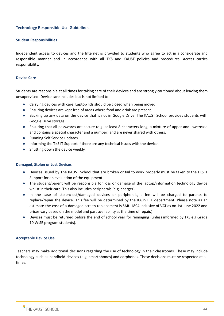# <span id="page-44-0"></span>**Technology Responsible Use Guidelines**

#### **Student Responsibilities**

Independent access to devices and the Internet is provided to students who agree to act in a considerate and responsible manner and in accordance with all TKS and KAUST policies and procedures. Access carries responsibility.

#### **Device Care**

Students are responsible at all times for taking care of their devices and are strongly cautioned about leaving them unsupervised. Device care includes but is not limited to:

- Carrying devices with care. Laptop lids should be closed when being moved.
- Ensuring devices are kept free of areas where food and drink are present.
- Backing up any data on the device that is not in Google Drive. The KAUST School provides students with Google Drive storage.
- Ensuring that all passwords are secure (e.g. at least 8 characters long, a mixture of upper and lowercase and contains a special character and a number) and are never shared with others.
- Running Self Service updates.
- Informing the TKS IT Support if there are any technical issues with the device.
- Shutting down the device weekly.

#### **Damaged, Stolen or Lost Devices**

- Devices issued by The KAUST School that are broken or fail to work properly must be taken to the TKS IT Support for an evaluation of the equipment.
- The student/parent will be responsible for loss or damage of the laptop/information technology device whilst in their care. This also includes peripherals (e.g. charger)
- In the case of stolen/lost/damaged devices or peripherals, a fee will be charged to parents to replace/repair the device. This fee will be determined by the KAUST IT department. Please note as an estimate the cost of a damaged screen replacement is SAR. 1894 inclusive of VAT as on 1st June 2022 and prices vary based on the model and part availability at the time of repair.)
- Devices must be returned before the end of school year for reimaging (unless informed by TKS e.g Grade 10 WISE program students).

#### **Acceptable Device Use**

Teachers may make additional decisions regarding the use of technology in their classrooms. These may include technology such as handheld devices (e.g. smartphones) and earphones. These decisions must be respected at all times.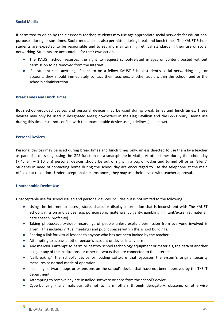#### **Social Media**

If permitted to do so by the classroom teacher, students may use age appropriate social networks for educational purposes during lesson times. Social media use is also permitted during break and lunch times. The KAUST School students are expected to be responsible and to set and maintain high ethical standards in their use of social networking. Students are accountable for their own actions.

- The KAUST School reserves the right to request school-related images or content posted without permission to be removed from the Internet.
- If a student sees anything of concern on a fellow KAUST School student's social networking page or account, they should immediately contact their teachers, another adult within the school, and or the school's administration.

#### **Break Times and Lunch Times**

Both school-provided devices and personal devices may be used during break times and lunch times. These devices may only be used in designated areas; downstairs in the Flag Pavillion and the GSS Library. Device use during this time must not conflict with the unacceptable device use guidelines (see below).

#### **Personal Devices**

Personal devices may be used during break times and lunch times only, unless directed to use them by a teacher as part of a class (e.g. using the GPS function on a smartphone in Math). At other times during the school day (7:45 am – 3:10 pm) personal devices should be out of sight in a bag or locker and turned off or on 'silent'. Students in need of contacting home during the school day are encouraged to use the telephone at the main office or at reception. Under exceptional circumstances, they may use their device with teacher approval.

# **Unacceptable Device Use**

Unacceptable use for school issued and personal devices includes but is not limited to the following:

- Using the Internet to access, store, share, or display information that is inconsistent with The KAUST School's mission and values (e.g. pornographic materials, vulgarity, gambling, militant/extremist material, hate speech, profanity).
- Taking photos/audio/video recordings of people unless explicit permission from everyone involved is given. This includes virtual meetings and public spaces within the school buildings.
- Sharing a link for virtual lessons to anyone who has not been invited by the teacher.
- Attempting to access another person's account or device in any form.
- Any malicious attempt to harm or destroy school technology equipment or materials, the data of another user, or any of the institutions, or other networks that are connected to the Internet
- "Jailbreaking" the school's device or loading software that bypasses the system's original security measures or normal mode of operation.
- Installing software, apps or extensions on the school's device that have not been approved by the TKS IT department.
- Attempting to remove any pre-installed software or apps from the school's device.
- Cyberbullying any malicious attempt to harm others through derogatory, obscene, or otherwise